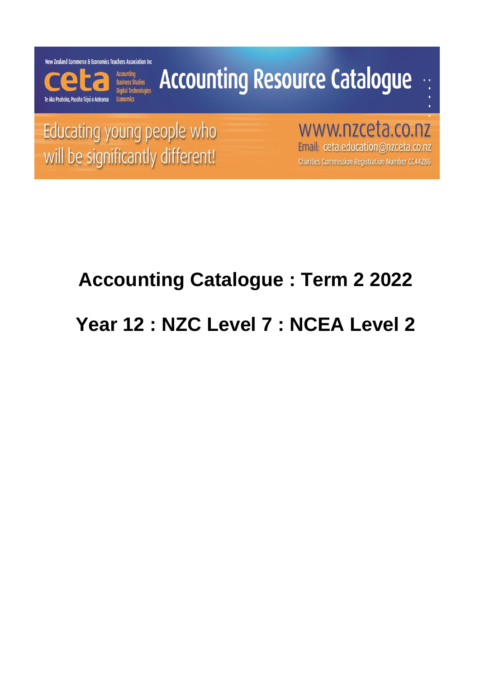New Zealand Commerce & Economics Teachers Association Inc



# **Accounting Resource Catalogue**

Educating young people who will be significantly different!

www.nzceta.co.nz Email: ceta.education@nzceta.co.nz Charities Commission Registration Number CC44286

## **Accounting Catalogue : Term 2 2022**

## **Year 12 : NZC Level 7 : NCEA Level 2**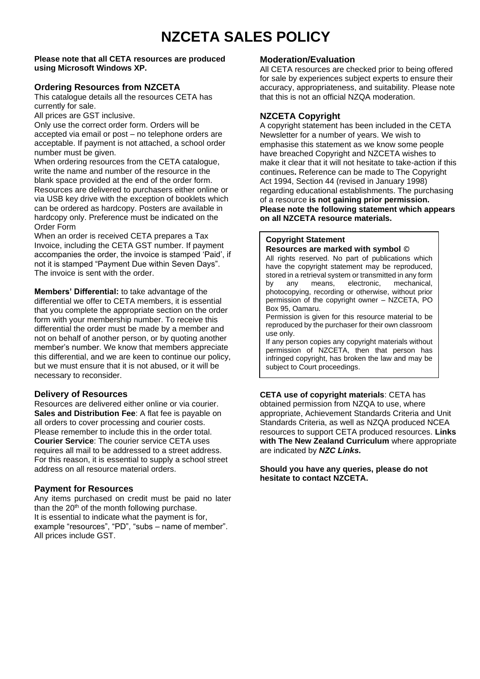### **NZCETA SALES POLICY**

#### **Please note that all CETA resources are produced using Microsoft Windows XP.**

#### **Ordering Resources from NZCETA**

This catalogue details all the resources CETA has currently for sale.

All prices are GST inclusive.

Only use the correct order form. Orders will be accepted via email or post – no telephone orders are acceptable. If payment is not attached, a school order number must be given.

When ordering resources from the CETA catalogue, write the name and number of the resource in the blank space provided at the end of the order form. Resources are delivered to purchasers either online or via USB key drive with the exception of booklets which can be ordered as hardcopy. Posters are available in hardcopy only. Preference must be indicated on the Order Form

When an order is received CETA prepares a Tax Invoice, including the CETA GST number. If payment accompanies the order, the invoice is stamped 'Paid', if not it is stamped "Payment Due within Seven Days". The invoice is sent with the order.

**Members' Differential:** to take advantage of the differential we offer to CETA members, it is essential that you complete the appropriate section on the order form with your membership number. To receive this differential the order must be made by a member and not on behalf of another person, or by quoting another member's number. We know that members appreciate this differential, and we are keen to continue our policy, but we must ensure that it is not abused, or it will be necessary to reconsider.

#### **Delivery of Resources**

Resources are delivered either online or via courier. **Sales and Distribution Fee**: A flat fee is payable on all orders to cover processing and courier costs. Please remember to include this in the order total. **Courier Service**: The courier service CETA uses requires all mail to be addressed to a street address. For this reason, it is essential to supply a school street address on all resource material orders.

### **Payment for Resources**

Any items purchased on credit must be paid no later than the  $20<sup>th</sup>$  of the month following purchase. It is essential to indicate what the payment is for, example "resources", "PD", "subs – name of member". All prices include GST.

### **Moderation/Evaluation**

All CETA resources are checked prior to being offered for sale by experiences subject experts to ensure their accuracy, appropriateness, and suitability. Please note that this is not an official NZQA moderation.

### **NZCETA Copyright**

A copyright statement has been included in the CETA Newsletter for a number of years. We wish to emphasise this statement as we know some people have breached Copyright and NZCETA wishes to make it clear that it will not hesitate to take-action if this continues**.** Reference can be made to The Copyright Act 1994, Section 44 (revised in January 1998) regarding educational establishments. The purchasing of a resource **is not gaining prior permission. Please note the following statement which appears on all NZCETA resource materials.**

#### **Copyright Statement**

#### **Resources are marked with symbol** ©

All rights reserved. No part of publications which have the copyright statement may be reproduced, stored in a retrieval system or transmitted in any form by any means, electronic, mechanical, photocopying, recording or otherwise, without prior permission of the copyright owner – NZCETA, PO Box 95, Oamaru.

Permission is given for this resource material to be reproduced by the purchaser for their own classroom use only.

If any person copies any copyright materials without permission of NZCETA, then that person has infringed copyright, has broken the law and may be subject to Court proceedings.

**CETA use of copyright materials**: CETA has obtained permission from NZQA to use, where appropriate, Achievement Standards Criteria and Unit Standards Criteria, as well as NZQA produced NCEA resources to support CETA produced resources. **Links with The New Zealand Curriculum** where appropriate are indicated by *NZC Links.*

**Should you have any queries, please do not hesitate to contact NZCETA.**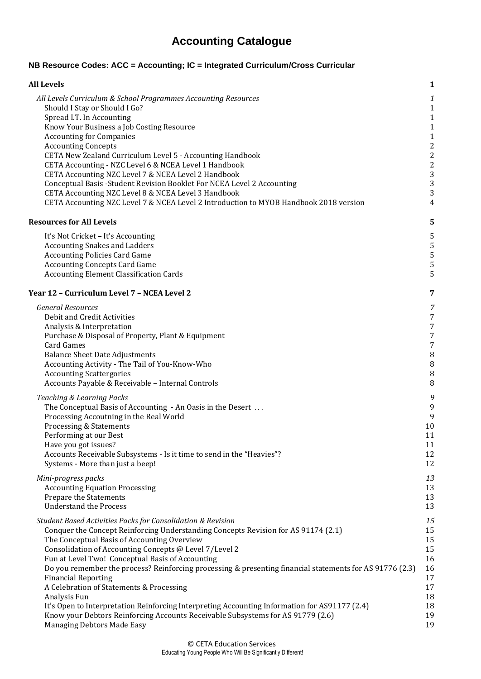### **Accounting Catalogue**

### **NB Resource Codes: ACC = Accounting; IC = Integrated Curriculum/Cross Curricular**

| <b>All Levels</b>                                                                                        | $\mathbf{1}$            |
|----------------------------------------------------------------------------------------------------------|-------------------------|
| All Levels Curriculum & School Programmes Accounting Resources                                           | $\boldsymbol{1}$        |
| Should I Stay or Should I Go?                                                                            | $\mathbf{1}$            |
| Spread I.T. In Accounting                                                                                | $\mathbf{1}$            |
| Know Your Business a Job Costing Resource                                                                | $\mathbf{1}$            |
| <b>Accounting for Companies</b>                                                                          | $\mathbf 1$             |
| <b>Accounting Concepts</b>                                                                               | $\sqrt{2}$              |
| CETA New Zealand Curriculum Level 5 - Accounting Handbook                                                | $\sqrt{2}$              |
| CETA Accounting - NZC Level 6 & NCEA Level 1 Handbook                                                    | $\overline{\mathbf{c}}$ |
| CETA Accounting NZC Level 7 & NCEA Level 2 Handbook                                                      | 3                       |
| Conceptual Basis - Student Revision Booklet For NCEA Level 2 Accounting                                  | $\overline{3}$          |
| CETA Accounting NZC Level 8 & NCEA Level 3 Handbook                                                      | $\overline{3}$          |
| CETA Accounting NZC Level 7 & NCEA Level 2 Introduction to MYOB Handbook 2018 version                    | 4                       |
| <b>Resources for All Levels</b>                                                                          | 5                       |
| It's Not Cricket - It's Accounting                                                                       | 5                       |
| <b>Accounting Snakes and Ladders</b>                                                                     | 5                       |
| <b>Accounting Policies Card Game</b>                                                                     | 5                       |
| <b>Accounting Concepts Card Game</b>                                                                     | 5                       |
| <b>Accounting Element Classification Cards</b>                                                           | 5                       |
| Year 12 - Curriculum Level 7 - NCEA Level 2                                                              | 7                       |
| <b>General Resources</b>                                                                                 | 7                       |
| Debit and Credit Activities                                                                              | 7                       |
| Analysis & Interpretation                                                                                | 7                       |
| Purchase & Disposal of Property, Plant & Equipment                                                       | 7                       |
| <b>Card Games</b>                                                                                        | 7                       |
| <b>Balance Sheet Date Adjustments</b>                                                                    | $\, 8$                  |
| Accounting Activity - The Tail of You-Know-Who                                                           | $\, 8$                  |
| <b>Accounting Scattergories</b>                                                                          | $\, 8$                  |
| Accounts Payable & Receivable - Internal Controls                                                        | 8                       |
| Teaching & Learning Packs                                                                                | 9                       |
| The Conceptual Basis of Accounting - An Oasis in the Desert                                              | 9                       |
| Processing Accoutning in the Real World                                                                  | $\boldsymbol{9}$        |
| Processing & Statements                                                                                  | 10                      |
| Performing at our Best                                                                                   | 11                      |
| Have you got issues?                                                                                     | $11\,$                  |
| Accounts Receivable Subsystems - Is it time to send in the "Heavies"?                                    | 12                      |
| Systems - More than just a beep!                                                                         | 12                      |
| Mini-progress packs                                                                                      | 13                      |
| <b>Accounting Equation Processing</b>                                                                    | 13                      |
| Prepare the Statements                                                                                   | 13                      |
| <b>Understand the Process</b>                                                                            | 13                      |
| Student Based Activities Packs for Consolidation & Revision                                              | $15\,$                  |
| Conquer the Concept Reinforcing Understanding Concepts Revision for AS 91174 (2.1)                       | 15                      |
| The Conceptual Basis of Accounting Overview                                                              | 15                      |
| Consolidation of Accounting Concepts @ Level 7/Level 2                                                   | 15                      |
| Fun at Level Two! Conceptual Basis of Accounting                                                         | 16                      |
| Do you remember the process? Reinforcing processing & presenting financial statements for AS 91776 (2.3) | 16                      |
| <b>Financial Reporting</b>                                                                               | 17                      |
| A Celebration of Statements & Processing                                                                 | 17                      |
| Analysis Fun                                                                                             | 18                      |
| It's Open to Interpretation Reinforcing Interpreting Accounting Information for AS91177 (2.4)            | 18                      |
| Know your Debtors Reinforcing Accounts Receivable Subsystems for AS 91779 (2.6)                          | 19                      |
| Managing Debtors Made Easy                                                                               | 19                      |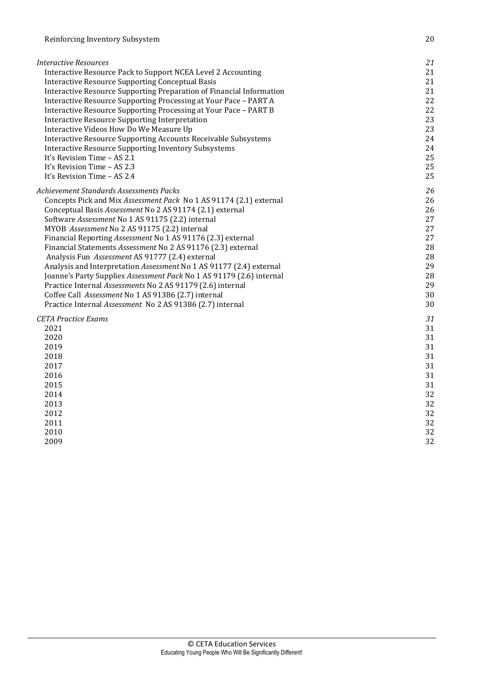| <i>Interactive Resources</i>                                         | 21 |
|----------------------------------------------------------------------|----|
| Interactive Resource Pack to Support NCEA Level 2 Accounting         | 21 |
| Interactive Resource Supporting Conceptual Basis                     | 21 |
| Interactive Resource Supporting Preparation of Financial Information | 21 |
| Interactive Resource Supporting Processing at Your Pace - PART A     | 22 |
| Interactive Resource Supporting Processing at Your Pace - PART B     | 22 |
| Interactive Resource Supporting Interpretation                       | 23 |
| Interactive Videos How Do We Measure Up                              | 23 |
| Interactive Resource Supporting Accounts Receivable Subsystems       | 24 |
| <b>Interactive Resource Supporting Inventory Subsystems</b>          | 24 |
| It's Revision Time - AS 2.1                                          | 25 |
| It's Revision Time - AS 2.3                                          | 25 |
| It's Revision Time - AS 2.4                                          | 25 |
| Achievement Standards Assessments Packs                              | 26 |
| Concepts Pick and Mix Assessment Pack No 1 AS 91174 (2.1) external   | 26 |
| Conceptual Basis Assessment No 2 AS 91174 (2.1) external             | 26 |
| Software Assessment No 1 AS 91175 (2.2) internal                     | 27 |
| MYOB Assessment No 2 AS 91175 (2.2) internal                         | 27 |
| Financial Reporting Assessment No 1 AS 91176 (2.3) external          | 27 |
| Financial Statements Assessment No 2 AS 91176 (2.3) external         | 28 |
| Analysis Fun Assessment AS 91777 (2.4) external                      | 28 |
| Analysis and Interpretation Assessment No 1 AS 91177 (2.4) external  | 29 |
| Joanne's Party Supplies Assessment Pack No 1 AS 91179 (2.6) internal | 28 |
| Practice Internal Assessments No 2 AS 91179 (2.6) internal           | 29 |
| Coffee Call Assessment No 1 AS 91386 (2.7) internal                  | 30 |
| Practice Internal Assessment No 2 AS 91386 (2.7) internal            | 30 |
| <b>CETA Practice Exams</b>                                           | 31 |
| 2021                                                                 | 31 |
| 2020                                                                 | 31 |
| 2019                                                                 | 31 |
| 2018                                                                 | 31 |
| 2017                                                                 | 31 |
| 2016                                                                 | 31 |
| 2015                                                                 | 31 |
| 2014                                                                 | 32 |
| 2013                                                                 | 32 |
| 2012                                                                 | 32 |
| 2011                                                                 | 32 |
| 2010                                                                 | 32 |
| 2009                                                                 | 32 |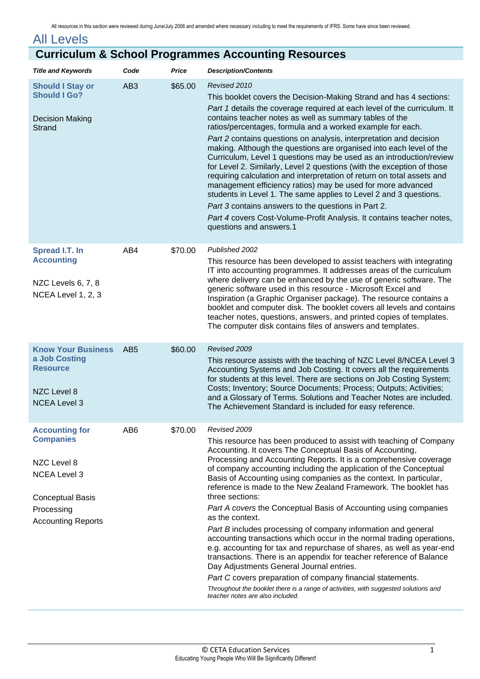<span id="page-4-5"></span><span id="page-4-4"></span><span id="page-4-3"></span><span id="page-4-2"></span><span id="page-4-1"></span><span id="page-4-0"></span>

| <b>All Levels</b>                                                                                                                                     |                 |         |                                                                                                                                                                                                                                                                                                                                                                                                                                                                                                                                                                                                                                                                                                                                                                                                                                                                                                                                                                                                                                                                             |  |
|-------------------------------------------------------------------------------------------------------------------------------------------------------|-----------------|---------|-----------------------------------------------------------------------------------------------------------------------------------------------------------------------------------------------------------------------------------------------------------------------------------------------------------------------------------------------------------------------------------------------------------------------------------------------------------------------------------------------------------------------------------------------------------------------------------------------------------------------------------------------------------------------------------------------------------------------------------------------------------------------------------------------------------------------------------------------------------------------------------------------------------------------------------------------------------------------------------------------------------------------------------------------------------------------------|--|
| <b>Curriculum &amp; School Programmes Accounting Resources</b>                                                                                        |                 |         |                                                                                                                                                                                                                                                                                                                                                                                                                                                                                                                                                                                                                                                                                                                                                                                                                                                                                                                                                                                                                                                                             |  |
| <b>Title and Keywords</b>                                                                                                                             | Code            | Price   | <b>Description/Contents</b>                                                                                                                                                                                                                                                                                                                                                                                                                                                                                                                                                                                                                                                                                                                                                                                                                                                                                                                                                                                                                                                 |  |
| <b>Should I Stay or</b><br><b>Should I Go?</b><br><b>Decision Making</b><br><b>Strand</b>                                                             | AB <sub>3</sub> | \$65.00 | Revised 2010<br>This booklet covers the Decision-Making Strand and has 4 sections:<br>Part 1 details the coverage required at each level of the curriculum. It<br>contains teacher notes as well as summary tables of the<br>ratios/percentages, formula and a worked example for each.<br>Part 2 contains questions on analysis, interpretation and decision<br>making. Although the questions are organised into each level of the<br>Curriculum, Level 1 questions may be used as an introduction/review<br>for Level 2. Similarly, Level 2 questions (with the exception of those<br>requiring calculation and interpretation of return on total assets and<br>management efficiency ratios) may be used for more advanced<br>students in Level 1. The same applies to Level 2 and 3 questions.<br>Part 3 contains answers to the questions in Part 2.<br>Part 4 covers Cost-Volume-Profit Analysis. It contains teacher notes,<br>questions and answers.1                                                                                                              |  |
| Spread I.T. In<br><b>Accounting</b><br>NZC Levels 6, 7, 8<br>NCEA Level 1, 2, 3                                                                       | AB4             | \$70.00 | Published 2002<br>This resource has been developed to assist teachers with integrating<br>IT into accounting programmes. It addresses areas of the curriculum<br>where delivery can be enhanced by the use of generic software. The<br>generic software used in this resource - Microsoft Excel and<br>Inspiration (a Graphic Organiser package). The resource contains a<br>booklet and computer disk. The booklet covers all levels and contains<br>teacher notes, questions, answers, and printed copies of templates.<br>The computer disk contains files of answers and templates.                                                                                                                                                                                                                                                                                                                                                                                                                                                                                     |  |
| <b>Know Your Business</b><br>a Job Costing<br><b>Resource</b><br>NZC Level 8<br><b>NCEA Level 3</b>                                                   | AB <sub>5</sub> | \$60.00 | Revised 2009<br>This resource assists with the teaching of NZC Level 8/NCEA Level 3<br>Accounting Systems and Job Costing. It covers all the requirements<br>for students at this level. There are sections on Job Costing System;<br>Costs; Inventory; Source Documents; Process; Outputs; Activities;<br>and a Glossary of Terms. Solutions and Teacher Notes are included.<br>The Achievement Standard is included for easy reference.                                                                                                                                                                                                                                                                                                                                                                                                                                                                                                                                                                                                                                   |  |
| <b>Accounting for</b><br><b>Companies</b><br>NZC Level 8<br><b>NCEA Level 3</b><br><b>Conceptual Basis</b><br>Processing<br><b>Accounting Reports</b> | AB <sub>6</sub> | \$70.00 | Revised 2009<br>This resource has been produced to assist with teaching of Company<br>Accounting. It covers The Conceptual Basis of Accounting,<br>Processing and Accounting Reports. It is a comprehensive coverage<br>of company accounting including the application of the Conceptual<br>Basis of Accounting using companies as the context. In particular,<br>reference is made to the New Zealand Framework. The booklet has<br>three sections:<br>Part A covers the Conceptual Basis of Accounting using companies<br>as the context.<br>Part B includes processing of company information and general<br>accounting transactions which occur in the normal trading operations,<br>e.g. accounting for tax and repurchase of shares, as well as year-end<br>transactions. There is an appendix for teacher reference of Balance<br>Day Adjustments General Journal entries.<br>Part C covers preparation of company financial statements.<br>Throughout the booklet there is a range of activities, with suggested solutions and<br>teacher notes are also included. |  |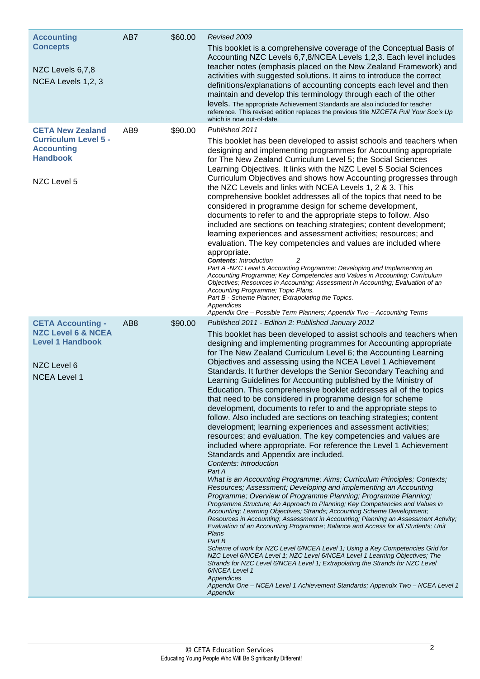<span id="page-5-2"></span><span id="page-5-1"></span><span id="page-5-0"></span>

| <b>Accounting</b>                                                                                                          | AB7             | \$60.00 | Revised 2009                                                                                                                                                                                                                                                                                                                                                                                                                                                                                                                                                                                                                                                                                                                                                                                                                                                                                                                                                                                                                                                                                                                                                                                                                                                                                                                                                                                                                                                                                                                                                                                                                                                                                                                                                                                                                                                                                                                                                                                           |
|----------------------------------------------------------------------------------------------------------------------------|-----------------|---------|--------------------------------------------------------------------------------------------------------------------------------------------------------------------------------------------------------------------------------------------------------------------------------------------------------------------------------------------------------------------------------------------------------------------------------------------------------------------------------------------------------------------------------------------------------------------------------------------------------------------------------------------------------------------------------------------------------------------------------------------------------------------------------------------------------------------------------------------------------------------------------------------------------------------------------------------------------------------------------------------------------------------------------------------------------------------------------------------------------------------------------------------------------------------------------------------------------------------------------------------------------------------------------------------------------------------------------------------------------------------------------------------------------------------------------------------------------------------------------------------------------------------------------------------------------------------------------------------------------------------------------------------------------------------------------------------------------------------------------------------------------------------------------------------------------------------------------------------------------------------------------------------------------------------------------------------------------------------------------------------------------|
| <b>Concepts</b><br>NZC Levels 6,7,8<br>NCEA Levels 1,2, 3                                                                  |                 |         | This booklet is a comprehensive coverage of the Conceptual Basis of<br>Accounting NZC Levels 6,7,8/NCEA Levels 1,2,3. Each level includes<br>teacher notes (emphasis placed on the New Zealand Framework) and<br>activities with suggested solutions. It aims to introduce the correct<br>definitions/explanations of accounting concepts each level and then<br>maintain and develop this terminology through each of the other<br>levels. The appropriate Achievement Standards are also included for teacher<br>reference. This revised edition replaces the previous title NZCETA Pull Your Soc's Up<br>which is now out-of-date.                                                                                                                                                                                                                                                                                                                                                                                                                                                                                                                                                                                                                                                                                                                                                                                                                                                                                                                                                                                                                                                                                                                                                                                                                                                                                                                                                                  |
| <b>CETA New Zealand</b><br><b>Curriculum Level 5 -</b><br><b>Accounting</b><br><b>Handbook</b><br>NZC Level 5              | AB9             | \$90.00 | Published 2011<br>This booklet has been developed to assist schools and teachers when<br>designing and implementing programmes for Accounting appropriate<br>for The New Zealand Curriculum Level 5; the Social Sciences<br>Learning Objectives. It links with the NZC Level 5 Social Sciences<br>Curriculum Objectives and shows how Accounting progresses through<br>the NZC Levels and links with NCEA Levels 1, 2 & 3. This<br>comprehensive booklet addresses all of the topics that need to be<br>considered in programme design for scheme development,<br>documents to refer to and the appropriate steps to follow. Also<br>included are sections on teaching strategies; content development;<br>learning experiences and assessment activities; resources; and<br>evaluation. The key competencies and values are included where<br>appropriate.<br><b>Contents: Introduction</b><br>Part A -NZC Level 5 Accounting Programme; Developing and Implementing an<br>Accounting Programme; Key Competencies and Values in Accounting; Curriculum<br>Objectives; Resources in Accounting; Assessment in Accounting; Evaluation of an<br>Accounting Programme; Topic Plans.<br>Part B - Scheme Planner; Extrapolating the Topics.<br>Appendices<br>Appendix One - Possible Term Planners; Appendix Two - Accounting Terms                                                                                                                                                                                                                                                                                                                                                                                                                                                                                                                                                                                                                                                                         |
| <b>CETA Accounting -</b><br><b>NZC Level 6 &amp; NCEA</b><br><b>Level 1 Handbook</b><br>NZC Level 6<br><b>NCEA Level 1</b> | AB <sub>8</sub> | \$90.00 | Published 2011 - Edition 2: Published January 2012<br>This booklet has been developed to assist schools and teachers when<br>designing and implementing programmes for Accounting appropriate<br>for The New Zealand Curriculum Level 6; the Accounting Learning<br>Objectives and assessing using the NCEA Level 1 Achievement<br>Standards. It further develops the Senior Secondary Teaching and<br>Learning Guidelines for Accounting published by the Ministry of<br>Education. This comprehensive booklet addresses all of the topics<br>that need to be considered in programme design for scheme<br>development, documents to refer to and the appropriate steps to<br>follow. Also included are sections on teaching strategies; content<br>development; learning experiences and assessment activities;<br>resources; and evaluation. The key competencies and values are<br>included where appropriate. For reference the Level 1 Achievement<br>Standards and Appendix are included.<br><b>Contents: Introduction</b><br>Part A<br>What is an Accounting Programme; Aims; Curriculum Principles; Contexts;<br>Resources; Assessment; Developing and implementing an Accounting<br>Programme; Overview of Programme Planning; Programme Planning;<br>Programme Structure; An Approach to Planning; Key Competencies and Values in<br>Accounting; Learning Objectives; Strands; Accounting Scheme Development;<br>Resources in Accounting; Assessment in Accounting; Planning an Assessment Activity;<br>Evaluation of an Accounting Programme; Balance and Access for all Students; Unit<br>Plans<br>Part B<br>Scheme of work for NZC Level 6/NCEA Level 1; Using a Key Competencies Grid for<br>NZC Level 6/NCEA Level 1; NZC Level 6/NCEA Level 1 Learning Objectives; The<br>Strands for NZC Level 6/NCEA Level 1; Extrapolating the Strands for NZC Level<br>6/NCEA Level 1<br>Appendices<br>Appendix One - NCEA Level 1 Achievement Standards; Appendix Two - NCEA Level 1<br>Appendix |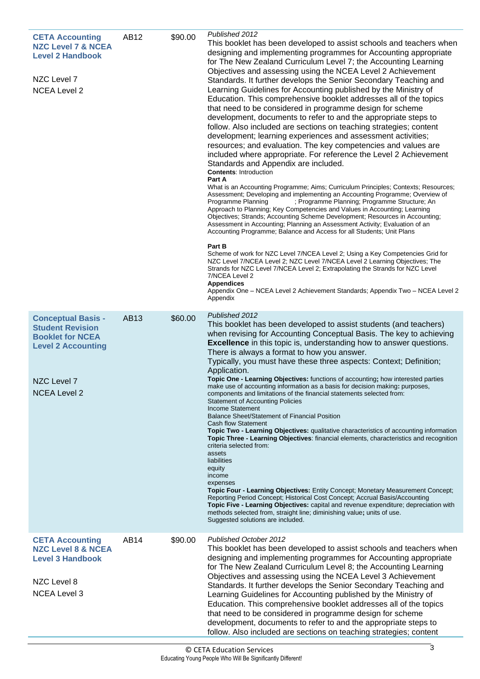<span id="page-6-1"></span><span id="page-6-0"></span>

| <b>CETA Accounting</b><br><b>NZC Level 7 &amp; NCEA</b><br><b>Level 2 Handbook</b><br>NZC Level 7<br><b>NCEA Level 2</b>                           | AB12             | \$90.00 | Published 2012<br>This booklet has been developed to assist schools and teachers when<br>designing and implementing programmes for Accounting appropriate<br>for The New Zealand Curriculum Level 7; the Accounting Learning<br>Objectives and assessing using the NCEA Level 2 Achievement<br>Standards. It further develops the Senior Secondary Teaching and<br>Learning Guidelines for Accounting published by the Ministry of<br>Education. This comprehensive booklet addresses all of the topics<br>that need to be considered in programme design for scheme<br>development, documents to refer to and the appropriate steps to<br>follow. Also included are sections on teaching strategies; content<br>development; learning experiences and assessment activities;<br>resources; and evaluation. The key competencies and values are<br>included where appropriate. For reference the Level 2 Achievement<br>Standards and Appendix are included.<br><b>Contents: Introduction</b><br>Part A<br>What is an Accounting Programme; Aims; Curriculum Principles; Contexts; Resources;<br>Assessment; Developing and implementing an Accounting Programme; Overview of<br>; Programme Planning; Programme Structure; An<br>Programme Planning<br>Approach to Planning; Key Competencies and Values in Accounting; Learning<br>Objectives; Strands; Accounting Scheme Development; Resources in Accounting;<br>Assessment in Accounting; Planning an Assessment Activity; Evaluation of an<br>Accounting Programme; Balance and Access for all Students; Unit Plans<br>Part B<br>Scheme of work for NZC Level 7/NCEA Level 2; Using a Key Competencies Grid for<br>NZC Level 7/NCEA Level 2; NZC Level 7/NCEA Level 2 Learning Objectives; The<br>Strands for NZC Level 7/NCEA Level 2; Extrapolating the Strands for NZC Level<br>7/NCEA Level 2<br><b>Appendices</b><br>Appendix One - NCEA Level 2 Achievement Standards; Appendix Two - NCEA Level 2<br>Appendix |
|----------------------------------------------------------------------------------------------------------------------------------------------------|------------------|---------|----------------------------------------------------------------------------------------------------------------------------------------------------------------------------------------------------------------------------------------------------------------------------------------------------------------------------------------------------------------------------------------------------------------------------------------------------------------------------------------------------------------------------------------------------------------------------------------------------------------------------------------------------------------------------------------------------------------------------------------------------------------------------------------------------------------------------------------------------------------------------------------------------------------------------------------------------------------------------------------------------------------------------------------------------------------------------------------------------------------------------------------------------------------------------------------------------------------------------------------------------------------------------------------------------------------------------------------------------------------------------------------------------------------------------------------------------------------------------------------------------------------------------------------------------------------------------------------------------------------------------------------------------------------------------------------------------------------------------------------------------------------------------------------------------------------------------------------------------------------------------------------------------------------------------------------------------------------------------|
| <b>Conceptual Basis -</b><br><b>Student Revision</b><br><b>Booklet for NCEA</b><br><b>Level 2 Accounting</b><br>NZC Level 7<br><b>NCEA Level 2</b> | <b>AB13</b>      | \$60.00 | Published 2012<br>This booklet has been developed to assist students (and teachers)<br>when revising for Accounting Conceptual Basis. The key to achieving<br><b>Excellence</b> in this topic is, understanding how to answer questions.<br>There is always a format to how you answer.<br>Typically, you must have these three aspects: Context; Definition;<br>Application.<br>Topic One - Learning Objectives: functions of accounting; how interested parties<br>make use of accounting information as a basis for decision making: purposes<br>components and limitations of the financial statements selected from:<br><b>Statement of Accounting Policies</b><br>Income Statement<br>Balance Sheet/Statement of Financial Position<br><b>Cash flow Statement</b><br>Topic Two - Learning Objectives: qualitative characteristics of accounting information<br>Topic Three - Learning Objectives: financial elements, characteristics and recognition<br>criteria selected from:<br>assets<br>liabilities<br>equity<br>income<br>expenses<br>Topic Four - Learning Objectives: Entity Concept; Monetary Measurement Concept;<br>Reporting Period Concept; Historical Cost Concept; Accrual Basis/Accounting<br>Topic Five - Learning Objectives: capital and revenue expenditure; depreciation with<br>methods selected from, straight line, diminishing value; units of use.<br>Suggested solutions are included.                                                                                                                                                                                                                                                                                                                                                                                                                                                                                                                                                   |
| <b>CETA Accounting</b><br><b>NZC Level 8 &amp; NCEA</b><br><b>Level 3 Handbook</b><br>NZC Level 8<br><b>NCEA Level 3</b>                           | AB <sub>14</sub> | \$90.00 | Published October 2012<br>This booklet has been developed to assist schools and teachers when<br>designing and implementing programmes for Accounting appropriate<br>for The New Zealand Curriculum Level 8; the Accounting Learning<br>Objectives and assessing using the NCEA Level 3 Achievement<br>Standards. It further develops the Senior Secondary Teaching and<br>Learning Guidelines for Accounting published by the Ministry of<br>Education. This comprehensive booklet addresses all of the topics<br>that need to be considered in programme design for scheme<br>development, documents to refer to and the appropriate steps to<br>follow. Also included are sections on teaching strategies; content                                                                                                                                                                                                                                                                                                                                                                                                                                                                                                                                                                                                                                                                                                                                                                                                                                                                                                                                                                                                                                                                                                                                                                                                                                                      |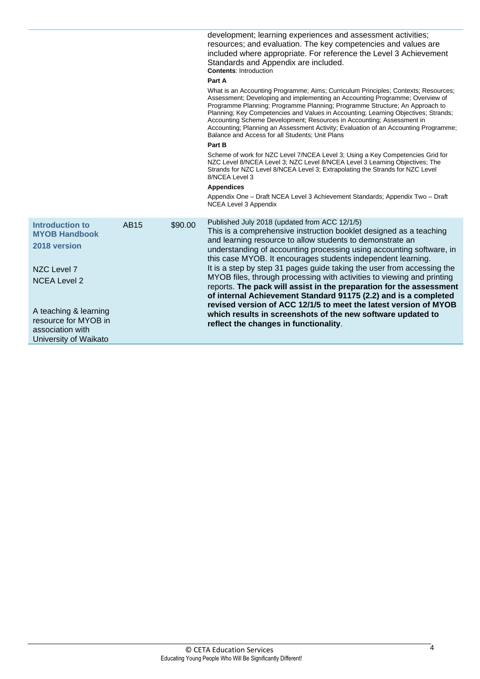|                                                                                                                                                                                             |             |         | development; learning experiences and assessment activities;<br>resources; and evaluation. The key competencies and values are<br>included where appropriate. For reference the Level 3 Achievement<br>Standards and Appendix are included.<br><b>Contents: Introduction</b><br>Part A<br>What is an Accounting Programme; Aims; Curriculum Principles; Contexts; Resources;<br>Assessment; Developing and implementing an Accounting Programme; Overview of<br>Programme Planning; Programme Planning; Programme Structure; An Approach to<br>Planning; Key Competencies and Values in Accounting; Learning Objectives; Strands;<br>Accounting Scheme Development; Resources in Accounting; Assessment in<br>Accounting; Planning an Assessment Activity; Evaluation of an Accounting Programme;<br>Balance and Access for all Students; Unit Plans<br>Part B<br>Scheme of work for NZC Level 7/NCEA Level 3; Using a Key Competencies Grid for<br>NZC Level 8/NCEA Level 3; NZC Level 8/NCEA Level 3 Learning Objectives; The<br>Strands for NZC Level 8/NCEA Level 3; Extrapolating the Strands for NZC Level<br>8/NCEA Level 3<br><b>Appendices</b><br>Appendix One - Draft NCEA Level 3 Achievement Standards; Appendix Two - Draft |
|---------------------------------------------------------------------------------------------------------------------------------------------------------------------------------------------|-------------|---------|------------------------------------------------------------------------------------------------------------------------------------------------------------------------------------------------------------------------------------------------------------------------------------------------------------------------------------------------------------------------------------------------------------------------------------------------------------------------------------------------------------------------------------------------------------------------------------------------------------------------------------------------------------------------------------------------------------------------------------------------------------------------------------------------------------------------------------------------------------------------------------------------------------------------------------------------------------------------------------------------------------------------------------------------------------------------------------------------------------------------------------------------------------------------------------------------------------------------------------------|
|                                                                                                                                                                                             |             |         | NCEA Level 3 Appendix                                                                                                                                                                                                                                                                                                                                                                                                                                                                                                                                                                                                                                                                                                                                                                                                                                                                                                                                                                                                                                                                                                                                                                                                                    |
| Introduction to<br><b>MYOB Handbook</b><br>2018 version<br>NZC Level 7<br><b>NCEA Level 2</b><br>A teaching & learning<br>resource for MYOB in<br>association with<br>University of Waikato | <b>AB15</b> | \$90.00 | Published July 2018 (updated from ACC 12/1/5)<br>This is a comprehensive instruction booklet designed as a teaching<br>and learning resource to allow students to demonstrate an<br>understanding of accounting processing using accounting software, in<br>this case MYOB. It encourages students independent learning.<br>It is a step by step 31 pages guide taking the user from accessing the<br>MYOB files, through processing with activities to viewing and printing<br>reports. The pack will assist in the preparation for the assessment<br>of internal Achievement Standard 91175 (2.2) and is a completed<br>revised version of ACC 12/1/5 to meet the latest version of MYOB<br>which results in screenshots of the new software updated to<br>reflect the changes in functionality.                                                                                                                                                                                                                                                                                                                                                                                                                                       |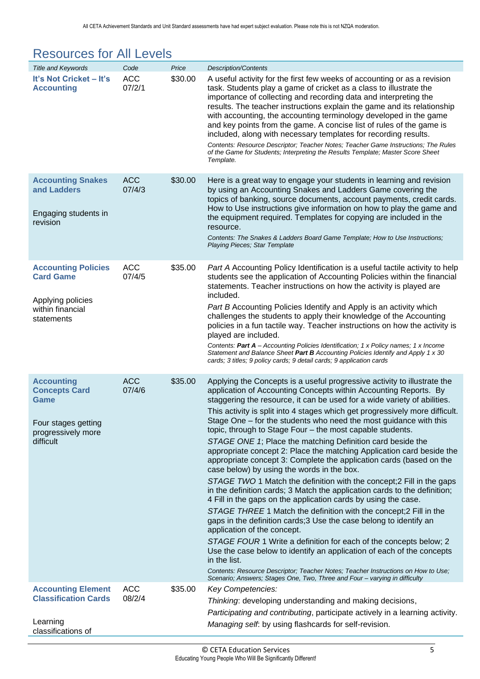<span id="page-8-1"></span>

| <b>Resources for All Levels</b>                                             |                      |         |                                                                                                                                                                                                                                                                                                                                                                                                                                                                                                                                                                                                                                                                                                     |
|-----------------------------------------------------------------------------|----------------------|---------|-----------------------------------------------------------------------------------------------------------------------------------------------------------------------------------------------------------------------------------------------------------------------------------------------------------------------------------------------------------------------------------------------------------------------------------------------------------------------------------------------------------------------------------------------------------------------------------------------------------------------------------------------------------------------------------------------------|
| <b>Title and Keywords</b>                                                   | Code                 | Price   | <b>Description/Contents</b>                                                                                                                                                                                                                                                                                                                                                                                                                                                                                                                                                                                                                                                                         |
| It's Not Cricket - It's<br><b>Accounting</b>                                | <b>ACC</b><br>07/2/1 | \$30.00 | A useful activity for the first few weeks of accounting or as a revision<br>task. Students play a game of cricket as a class to illustrate the<br>importance of collecting and recording data and interpreting the<br>results. The teacher instructions explain the game and its relationship<br>with accounting, the accounting terminology developed in the game<br>and key points from the game. A concise list of rules of the game is<br>included, along with necessary templates for recording results.<br>Contents: Resource Descriptor; Teacher Notes; Teacher Game Instructions; The Rules<br>of the Game for Students; Interpreting the Results Template; Master Score Sheet<br>Template. |
| <b>Accounting Snakes</b><br>and Ladders<br>Engaging students in<br>revision | <b>ACC</b><br>07/4/3 | \$30.00 | Here is a great way to engage your students in learning and revision<br>by using an Accounting Snakes and Ladders Game covering the<br>topics of banking, source documents, account payments, credit cards.<br>How to Use instructions give information on how to play the game and<br>the equipment required. Templates for copying are included in the<br>resource.<br>Contents: The Snakes & Ladders Board Game Template; How to Use Instructions;<br>Playing Pieces; Star Template                                                                                                                                                                                                              |
| <b>Accounting Policies</b><br><b>Card Game</b>                              | ACC<br>07/4/5        | \$35.00 | Part A Accounting Policy Identification is a useful tactile activity to help<br>students see the application of Accounting Policies within the financial<br>statements. Teacher instructions on how the activity is played are                                                                                                                                                                                                                                                                                                                                                                                                                                                                      |

### <span id="page-8-0"></span>Resources for All Levels

<span id="page-8-5"></span><span id="page-8-4"></span><span id="page-8-3"></span><span id="page-8-2"></span>

|                                                                                                             |                      |         | with accounting, the accounting terminology developed in the game<br>and key points from the game. A concise list of rules of the game is<br>included, along with necessary templates for recording results.<br>Contents: Resource Descriptor; Teacher Notes; Teacher Game Instructions; The Rules<br>of the Game for Students; Interpreting the Results Template; Master Score Sheet<br>Template.                                                                                                                                                                                                                                                                                                                                                                                                                                                                                                                                                                                                                                                                                                                                                                                                                                                                                                                                                                                                                                         |
|-------------------------------------------------------------------------------------------------------------|----------------------|---------|--------------------------------------------------------------------------------------------------------------------------------------------------------------------------------------------------------------------------------------------------------------------------------------------------------------------------------------------------------------------------------------------------------------------------------------------------------------------------------------------------------------------------------------------------------------------------------------------------------------------------------------------------------------------------------------------------------------------------------------------------------------------------------------------------------------------------------------------------------------------------------------------------------------------------------------------------------------------------------------------------------------------------------------------------------------------------------------------------------------------------------------------------------------------------------------------------------------------------------------------------------------------------------------------------------------------------------------------------------------------------------------------------------------------------------------------|
| <b>Accounting Snakes</b><br>and Ladders<br>Engaging students in<br>revision                                 | <b>ACC</b><br>07/4/3 | \$30.00 | Here is a great way to engage your students in learning and revision<br>by using an Accounting Snakes and Ladders Game covering the<br>topics of banking, source documents, account payments, credit cards.<br>How to Use instructions give information on how to play the game and<br>the equipment required. Templates for copying are included in the<br>resource.<br>Contents: The Snakes & Ladders Board Game Template; How to Use Instructions;<br><b>Playing Pieces</b> ; Star Template                                                                                                                                                                                                                                                                                                                                                                                                                                                                                                                                                                                                                                                                                                                                                                                                                                                                                                                                             |
| <b>Accounting Policies</b><br><b>Card Game</b><br>Applying policies<br>within financial<br>statements       | <b>ACC</b><br>07/4/5 | \$35.00 | Part A Accounting Policy Identification is a useful tactile activity to help<br>students see the application of Accounting Policies within the financial<br>statements. Teacher instructions on how the activity is played are<br>included.<br>Part B Accounting Policies Identify and Apply is an activity which<br>challenges the students to apply their knowledge of the Accounting<br>policies in a fun tactile way. Teacher instructions on how the activity is<br>played are included.<br>Contents: Part A - Accounting Policies Identification; 1 x Policy names; 1 x Income<br>Statement and Balance Sheet Part B Accounting Policies Identify and Apply 1 x 30<br>cards; 3 titles; 9 policy cards; 9 detail cards; 9 application cards                                                                                                                                                                                                                                                                                                                                                                                                                                                                                                                                                                                                                                                                                           |
| <b>Accounting</b><br><b>Concepts Card</b><br>Game<br>Four stages getting<br>progressively more<br>difficult | <b>ACC</b><br>07/4/6 | \$35.00 | Applying the Concepts is a useful progressive activity to illustrate the<br>application of Accounting Concepts within Accounting Reports. By<br>staggering the resource, it can be used for a wide variety of abilities.<br>This activity is split into 4 stages which get progressively more difficult.<br>Stage One – for the students who need the most guidance with this<br>topic, through to Stage Four - the most capable students.<br>STAGE ONE 1; Place the matching Definition card beside the<br>appropriate concept 2: Place the matching Application card beside the<br>appropriate concept 3: Complete the application cards (based on the<br>case below) by using the words in the box.<br>STAGE TWO 1 Match the definition with the concept; 2 Fill in the gaps<br>in the definition cards; 3 Match the application cards to the definition;<br>4 Fill in the gaps on the application cards by using the case.<br>STAGE THREE 1 Match the definition with the concept; 2 Fill in the<br>gaps in the definition cards; 3 Use the case belong to identify an<br>application of the concept.<br>STAGE FOUR 1 Write a definition for each of the concepts below; 2<br>Use the case below to identify an application of each of the concepts<br>in the list.<br>Contents: Resource Descriptor; Teacher Notes; Teacher Instructions on How to Use;<br>Scenario; Answers; Stages One, Two, Three and Four - varying in difficulty |
| <b>Accounting Element</b><br><b>Classification Cards</b><br>Learning                                        | <b>ACC</b><br>08/2/4 | \$35.00 | Key Competencies:<br>Thinking: developing understanding and making decisions,<br>Participating and contributing, participate actively in a learning activity.<br>Managing self. by using flashcards for self-revision.                                                                                                                                                                                                                                                                                                                                                                                                                                                                                                                                                                                                                                                                                                                                                                                                                                                                                                                                                                                                                                                                                                                                                                                                                     |
| classifications of                                                                                          |                      |         |                                                                                                                                                                                                                                                                                                                                                                                                                                                                                                                                                                                                                                                                                                                                                                                                                                                                                                                                                                                                                                                                                                                                                                                                                                                                                                                                                                                                                                            |
|                                                                                                             |                      |         |                                                                                                                                                                                                                                                                                                                                                                                                                                                                                                                                                                                                                                                                                                                                                                                                                                                                                                                                                                                                                                                                                                                                                                                                                                                                                                                                                                                                                                            |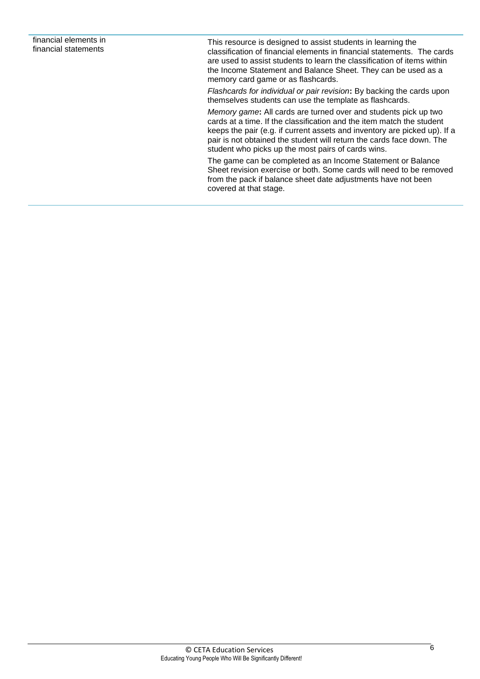This resource is designed to assist students in learning the classification of financial elements in financial statements. The cards are used to assist students to learn the classification of items within the Income Statement and Balance Sheet. They can be used as a memory card game or as flashcards.

*Flashcards for individual or pair revision***:** By backing the cards upon themselves students can use the template as flashcards.

*Memory game***:** All cards are turned over and students pick up two cards at a time. If the classification and the item match the student keeps the pair (e.g. if current assets and inventory are picked up). If a pair is not obtained the student will return the cards face down. The student who picks up the most pairs of cards wins.

The game can be completed as an Income Statement or Balance Sheet revision exercise or both. Some cards will need to be removed from the pack if balance sheet date adjustments have not been covered at that stage.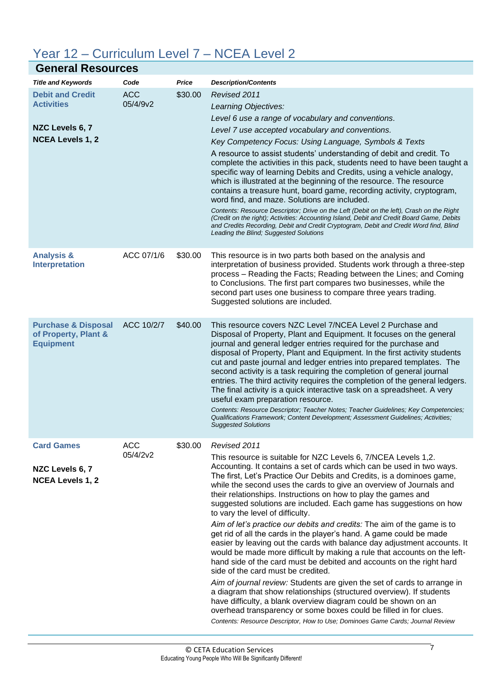### <span id="page-10-0"></span>Year 12 – Curriculum Level 7 – NCEA Level 2

<span id="page-10-5"></span><span id="page-10-4"></span><span id="page-10-3"></span><span id="page-10-2"></span><span id="page-10-1"></span>

| <b>General Resources</b>                                                                   |                        |         |                                                                                                                                                                                                                                                                                                                                                                                                                                                                                                                                                                                                                                                                                                                                                                                                                                                                                                                                                                                                                                                                                                                                                                                                                                                                                          |  |
|--------------------------------------------------------------------------------------------|------------------------|---------|------------------------------------------------------------------------------------------------------------------------------------------------------------------------------------------------------------------------------------------------------------------------------------------------------------------------------------------------------------------------------------------------------------------------------------------------------------------------------------------------------------------------------------------------------------------------------------------------------------------------------------------------------------------------------------------------------------------------------------------------------------------------------------------------------------------------------------------------------------------------------------------------------------------------------------------------------------------------------------------------------------------------------------------------------------------------------------------------------------------------------------------------------------------------------------------------------------------------------------------------------------------------------------------|--|
| <b>Title and Keywords</b>                                                                  | Code                   | Price   | <b>Description/Contents</b>                                                                                                                                                                                                                                                                                                                                                                                                                                                                                                                                                                                                                                                                                                                                                                                                                                                                                                                                                                                                                                                                                                                                                                                                                                                              |  |
| <b>Debit and Credit</b><br><b>Activities</b><br>NZC Levels 6, 7<br><b>NCEA Levels 1, 2</b> | <b>ACC</b><br>05/4/9v2 | \$30.00 | Revised 2011<br>Learning Objectives:<br>Level 6 use a range of vocabulary and conventions.<br>Level 7 use accepted vocabulary and conventions.<br>Key Competency Focus: Using Language, Symbols & Texts<br>A resource to assist students' understanding of debit and credit. To<br>complete the activities in this pack, students need to have been taught a<br>specific way of learning Debits and Credits, using a vehicle analogy,<br>which is illustrated at the beginning of the resource. The resource<br>contains a treasure hunt, board game, recording activity, cryptogram,<br>word find, and maze. Solutions are included.<br>Contents: Resource Descriptor; Drive on the Left (Debit on the left), Crash on the Right<br>(Credit on the right); Activities: Accounting Island, Debit and Credit Board Game, Debits<br>and Credits Recording, Debit and Credit Cryptogram, Debit and Credit Word find, Blind<br>Leading the Blind; Suggested Solutions                                                                                                                                                                                                                                                                                                                        |  |
| <b>Analysis &amp;</b><br><b>Interpretation</b>                                             | ACC 07/1/6             | \$30.00 | This resource is in two parts both based on the analysis and<br>interpretation of business provided. Students work through a three-step<br>process - Reading the Facts; Reading between the Lines; and Coming<br>to Conclusions. The first part compares two businesses, while the<br>second part uses one business to compare three years trading.<br>Suggested solutions are included.                                                                                                                                                                                                                                                                                                                                                                                                                                                                                                                                                                                                                                                                                                                                                                                                                                                                                                 |  |
| <b>Purchase &amp; Disposal</b><br>of Property, Plant &<br><b>Equipment</b>                 | ACC 10/2/7             | \$40.00 | This resource covers NZC Level 7/NCEA Level 2 Purchase and<br>Disposal of Property, Plant and Equipment. It focuses on the general<br>journal and general ledger entries required for the purchase and<br>disposal of Property, Plant and Equipment. In the first activity students<br>cut and paste journal and ledger entries into prepared templates. The<br>second activity is a task requiring the completion of general journal<br>entries. The third activity requires the completion of the general ledgers.<br>The final activity is a quick interactive task on a spreadsheet. A very<br>useful exam preparation resource.<br>Contents: Resource Descriptor; Teacher Notes; Teacher Guidelines; Key Competencies;<br>Qualifications Framework; Content Development; Assessment Guidelines; Activities;<br><b>Suggested Solutions</b>                                                                                                                                                                                                                                                                                                                                                                                                                                           |  |
| <b>Card Games</b><br>NZC Levels 6, 7<br><b>NCEA Levels 1, 2</b>                            | <b>ACC</b><br>05/4/2v2 | \$30.00 | Revised 2011<br>This resource is suitable for NZC Levels 6, 7/NCEA Levels 1,2.<br>Accounting. It contains a set of cards which can be used in two ways.<br>The first, Let's Practice Our Debits and Credits, is a dominoes game,<br>while the second uses the cards to give an overview of Journals and<br>their relationships. Instructions on how to play the games and<br>suggested solutions are included. Each game has suggestions on how<br>to vary the level of difficulty.<br>Aim of let's practice our debits and credits: The aim of the game is to<br>get rid of all the cards in the player's hand. A game could be made<br>easier by leaving out the cards with balance day adjustment accounts. It<br>would be made more difficult by making a rule that accounts on the left-<br>hand side of the card must be debited and accounts on the right hard<br>side of the card must be credited.<br>Aim of journal review: Students are given the set of cards to arrange in<br>a diagram that show relationships (structured overview). If students<br>have difficulty, a blank overview diagram could be shown on an<br>overhead transparency or some boxes could be filled in for clues.<br>Contents: Resource Descriptor, How to Use; Dominoes Game Cards; Journal Review |  |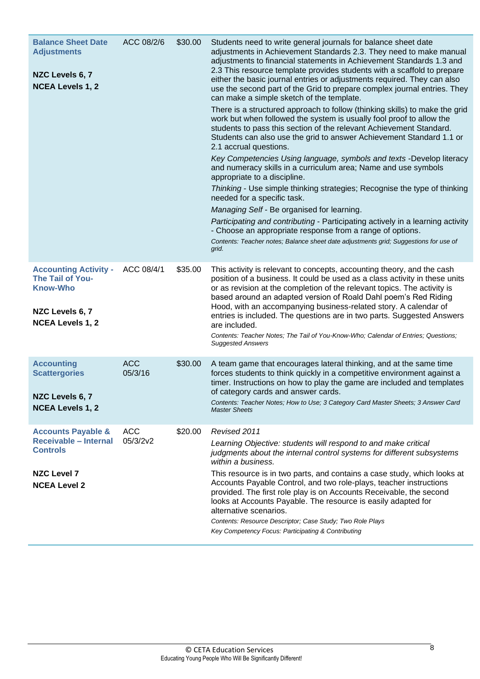<span id="page-11-3"></span><span id="page-11-2"></span><span id="page-11-1"></span><span id="page-11-0"></span>

| <b>Balance Sheet Date</b><br><b>Adjustments</b><br>NZC Levels 6, 7<br><b>NCEA Levels 1, 2</b>                          | ACC 08/2/6             | \$30.00 | Students need to write general journals for balance sheet date<br>adjustments in Achievement Standards 2.3. They need to make manual<br>adjustments to financial statements in Achievement Standards 1.3 and<br>2.3 This resource template provides students with a scaffold to prepare<br>either the basic journal entries or adjustments required. They can also<br>use the second part of the Grid to prepare complex journal entries. They<br>can make a simple sketch of the template.<br>There is a structured approach to follow (thinking skills) to make the grid<br>work but when followed the system is usually fool proof to allow the<br>students to pass this section of the relevant Achievement Standard.<br>Students can also use the grid to answer Achievement Standard 1.1 or<br>2.1 accrual questions.<br>Key Competencies Using language, symbols and texts -Develop literacy<br>and numeracy skills in a curriculum area; Name and use symbols<br>appropriate to a discipline.<br>Thinking - Use simple thinking strategies; Recognise the type of thinking<br>needed for a specific task.<br>Managing Self - Be organised for learning.<br>Participating and contributing - Participating actively in a learning activity<br>- Choose an appropriate response from a range of options.<br>Contents: Teacher notes; Balance sheet date adjustments grid; Suggestions for use of<br>grid. |
|------------------------------------------------------------------------------------------------------------------------|------------------------|---------|-----------------------------------------------------------------------------------------------------------------------------------------------------------------------------------------------------------------------------------------------------------------------------------------------------------------------------------------------------------------------------------------------------------------------------------------------------------------------------------------------------------------------------------------------------------------------------------------------------------------------------------------------------------------------------------------------------------------------------------------------------------------------------------------------------------------------------------------------------------------------------------------------------------------------------------------------------------------------------------------------------------------------------------------------------------------------------------------------------------------------------------------------------------------------------------------------------------------------------------------------------------------------------------------------------------------------------------------------------------------------------------------------------------------|
| <b>Accounting Activity -</b><br>The Tail of You-<br><b>Know-Who</b><br>NZC Levels 6, 7<br><b>NCEA Levels 1, 2</b>      | ACC 08/4/1             | \$35.00 | This activity is relevant to concepts, accounting theory, and the cash<br>position of a business. It could be used as a class activity in these units<br>or as revision at the completion of the relevant topics. The activity is<br>based around an adapted version of Roald Dahl poem's Red Riding<br>Hood, with an accompanying business-related story. A calendar of<br>entries is included. The questions are in two parts. Suggested Answers<br>are included.<br>Contents: Teacher Notes; The Tail of You-Know-Who; Calendar of Entries; Questions;<br><b>Suggested Answers</b>                                                                                                                                                                                                                                                                                                                                                                                                                                                                                                                                                                                                                                                                                                                                                                                                                           |
| <b>Accounting</b><br><b>Scattergories</b><br>NZC Levels 6, 7<br><b>NCEA Levels 1, 2</b>                                | <b>ACC</b><br>05/3/16  | \$30.00 | A team game that encourages lateral thinking, and at the same time<br>forces students to think quickly in a competitive environment against a<br>timer. Instructions on how to play the game are included and templates<br>of category cards and answer cards.<br>Contents: Teacher Notes; How to Use; 3 Category Card Master Sheets; 3 Answer Card<br><b>Master Sheets</b>                                                                                                                                                                                                                                                                                                                                                                                                                                                                                                                                                                                                                                                                                                                                                                                                                                                                                                                                                                                                                                     |
| <b>Accounts Payable &amp;</b><br>Receivable - Internal<br><b>Controls</b><br><b>NZC Level 7</b><br><b>NCEA Level 2</b> | <b>ACC</b><br>05/3/2v2 | \$20.00 | Revised 2011<br>Learning Objective: students will respond to and make critical<br>judgments about the internal control systems for different subsystems<br>within a business.<br>This resource is in two parts, and contains a case study, which looks at<br>Accounts Payable Control, and two role-plays, teacher instructions<br>provided. The first role play is on Accounts Receivable, the second<br>looks at Accounts Payable. The resource is easily adapted for<br>alternative scenarios.<br>Contents: Resource Descriptor; Case Study; Two Role Plays<br>Key Competency Focus: Participating & Contributing                                                                                                                                                                                                                                                                                                                                                                                                                                                                                                                                                                                                                                                                                                                                                                                            |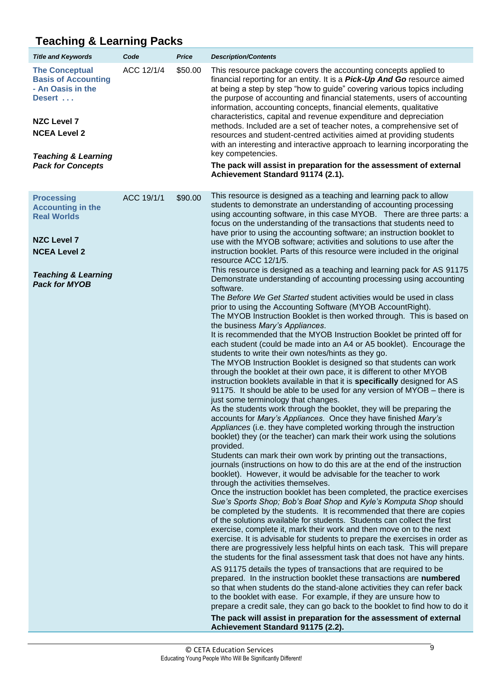### <span id="page-12-0"></span>**Teaching & Learning Packs**

<span id="page-12-1"></span>

| <b>Title and Keywords</b>                                                                                                                                                                     | Code       | <b>Price</b> | <b>Description/Contents</b>                                                                                                                                                                                                                                                                                                                                                                                                                                                                                                                                                                                                                                                                                                                                                                                                                                                                                                                                                                                                                                                                                                                                                                                                                                                                                                                                                                                                                                                                                                                                                                                                                                                                                                                                                                                                                                                                                                                                                                                                                                                                                                                                                                                                                                                                                                                                                                                                                                                                                                                                                                                                                                                                                                                                                                                                                                                                                                                                                                                                                                                                                                                                                                              |
|-----------------------------------------------------------------------------------------------------------------------------------------------------------------------------------------------|------------|--------------|----------------------------------------------------------------------------------------------------------------------------------------------------------------------------------------------------------------------------------------------------------------------------------------------------------------------------------------------------------------------------------------------------------------------------------------------------------------------------------------------------------------------------------------------------------------------------------------------------------------------------------------------------------------------------------------------------------------------------------------------------------------------------------------------------------------------------------------------------------------------------------------------------------------------------------------------------------------------------------------------------------------------------------------------------------------------------------------------------------------------------------------------------------------------------------------------------------------------------------------------------------------------------------------------------------------------------------------------------------------------------------------------------------------------------------------------------------------------------------------------------------------------------------------------------------------------------------------------------------------------------------------------------------------------------------------------------------------------------------------------------------------------------------------------------------------------------------------------------------------------------------------------------------------------------------------------------------------------------------------------------------------------------------------------------------------------------------------------------------------------------------------------------------------------------------------------------------------------------------------------------------------------------------------------------------------------------------------------------------------------------------------------------------------------------------------------------------------------------------------------------------------------------------------------------------------------------------------------------------------------------------------------------------------------------------------------------------------------------------------------------------------------------------------------------------------------------------------------------------------------------------------------------------------------------------------------------------------------------------------------------------------------------------------------------------------------------------------------------------------------------------------------------------------------------------------------------------|
| <b>The Conceptual</b><br><b>Basis of Accounting</b><br>- An Oasis in the<br>Desert<br><b>NZC Level 7</b><br><b>NCEA Level 2</b><br><b>Teaching &amp; Learning</b><br><b>Pack for Concepts</b> | ACC 12/1/4 | \$50.00      | This resource package covers the accounting concepts applied to<br>financial reporting for an entity. It is a <b>Pick-Up And Go</b> resource aimed<br>at being a step by step "how to guide" covering various topics including<br>the purpose of accounting and financial statements, users of accounting<br>information, accounting concepts, financial elements, qualitative<br>characteristics, capital and revenue expenditure and depreciation<br>methods. Included are a set of teacher notes, a comprehensive set of<br>resources and student-centred activities aimed at providing students<br>with an interesting and interactive approach to learning incorporating the<br>key competencies.<br>The pack will assist in preparation for the assessment of external<br>Achievement Standard 91174 (2.1).                                                                                                                                                                                                                                                                                                                                                                                                                                                                                                                                                                                                                                                                                                                                                                                                                                                                                                                                                                                                                                                                                                                                                                                                                                                                                                                                                                                                                                                                                                                                                                                                                                                                                                                                                                                                                                                                                                                                                                                                                                                                                                                                                                                                                                                                                                                                                                                        |
| <b>Processing</b><br><b>Accounting in the</b><br><b>Real Worlds</b><br><b>NZC Level 7</b><br><b>NCEA Level 2</b><br><b>Teaching &amp; Learning</b><br><b>Pack for MYOB</b>                    | ACC 19/1/1 | \$90.00      | This resource is designed as a teaching and learning pack to allow<br>students to demonstrate an understanding of accounting processing<br>using accounting software, in this case MYOB. There are three parts: a<br>focus on the understanding of the transactions that students need to<br>have prior to using the accounting software; an instruction booklet to<br>use with the MYOB software; activities and solutions to use after the<br>instruction booklet. Parts of this resource were included in the original<br>resource ACC 12/1/5.<br>This resource is designed as a teaching and learning pack for AS 91175<br>Demonstrate understanding of accounting processing using accounting<br>software.<br>The Before We Get Started student activities would be used in class<br>prior to using the Accounting Software (MYOB AccountRight).<br>The MYOB Instruction Booklet is then worked through. This is based on<br>the business Mary's Appliances.<br>It is recommended that the MYOB Instruction Booklet be printed off for<br>each student (could be made into an A4 or A5 booklet). Encourage the<br>students to write their own notes/hints as they go.<br>The MYOB Instruction Booklet is designed so that students can work<br>through the booklet at their own pace, it is different to other MYOB<br>instruction booklets available in that it is specifically designed for AS<br>91175. It should be able to be used for any version of MYOB - there is<br>just some terminology that changes.<br>As the students work through the booklet, they will be preparing the<br>accounts for Mary's Appliances. Once they have finished Mary's<br>Appliances (i.e. they have completed working through the instruction<br>booklet) they (or the teacher) can mark their work using the solutions<br>provided.<br>Students can mark their own work by printing out the transactions,<br>journals (instructions on how to do this are at the end of the instruction<br>booklet). However, it would be advisable for the teacher to work<br>through the activities themselves.<br>Once the instruction booklet has been completed, the practice exercises<br>Sue's Sports Shop; Bob's Boat Shop and Kyle's Komputa Shop should<br>be completed by the students. It is recommended that there are copies<br>of the solutions available for students. Students can collect the first<br>exercise, complete it, mark their work and then move on to the next<br>exercise. It is advisable for students to prepare the exercises in order as<br>there are progressively less helpful hints on each task. This will prepare<br>the students for the final assessment task that does not have any hints.<br>AS 91175 details the types of transactions that are required to be<br>prepared. In the instruction booklet these transactions are numbered<br>so that when students do the stand-alone activities they can refer back<br>to the booklet with ease. For example, if they are unsure how to<br>prepare a credit sale, they can go back to the booklet to find how to do it<br>The pack will assist in preparation for the assessment of external<br>Achievement Standard 91175 (2.2). |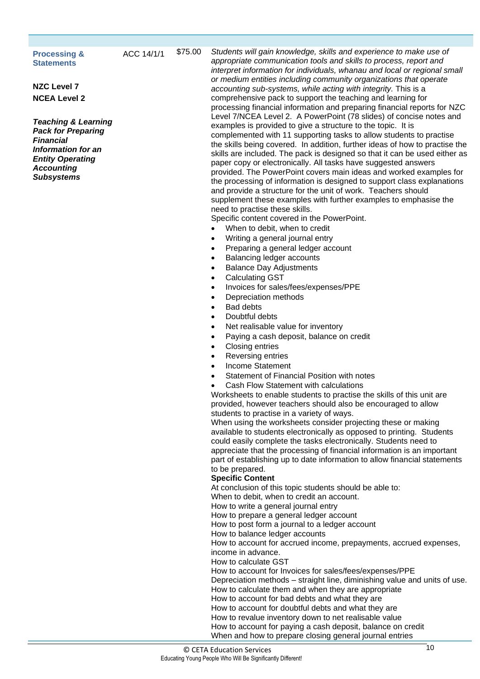#### <span id="page-13-0"></span>**Processing & Statements**

**NZC Level 7 NCEA Level 2**

*Teaching & Learning Pack for Preparing Financial Information for an Entity Operating Accounting Subsystems*

ACC 14/1/1 \$75.00 *Students will gain knowledge, skills and experience to make use of appropriate communication tools and skills to process, report and interpret information for individuals, whanau and local or regional small or medium entities including community organizations that operate accounting sub-systems, while acting with integrity.* This is a comprehensive pack to support the teaching and learning for processing financial information and preparing financial reports for NZC Level 7/NCEA Level 2. A PowerPoint (78 slides) of concise notes and examples is provided to give a structure to the topic. It is complemented with 11 supporting tasks to allow students to practise the skills being covered. In addition, further ideas of how to practise the skills are included. The pack is designed so that it can be used either as paper copy or electronically. All tasks have suggested answers provided. The PowerPoint covers main ideas and worked examples for the processing of information is designed to support class explanations and provide a structure for the unit of work. Teachers should supplement these examples with further examples to emphasise the need to practise these skills.

Specific content covered in the PowerPoint.

- When to debit, when to credit
- Writing a general journal entry
- Preparing a general ledger account
- Balancing ledger accounts
- Balance Day Adjustments
- Calculating GST
- Invoices for sales/fees/expenses/PPE
- Depreciation methods
- Bad debts
- Doubtful debts
- Net realisable value for inventory
- Paying a cash deposit, balance on credit
- Closing entries
- Reversing entries
- Income Statement
- Statement of Financial Position with notes
- Cash Flow Statement with calculations

Worksheets to enable students to practise the skills of this unit are provided, however teachers should also be encouraged to allow students to practise in a variety of ways.

When using the worksheets consider projecting these or making available to students electronically as opposed to printing. Students could easily complete the tasks electronically. Students need to appreciate that the processing of financial information is an important part of establishing up to date information to allow financial statements to be prepared.

#### **Specific Content**

At conclusion of this topic students should be able to:

When to debit, when to credit an account.

How to write a general journal entry

How to prepare a general ledger account

How to post form a journal to a ledger account

How to balance ledger accounts

How to account for accrued income, prepayments, accrued expenses, income in advance.

How to calculate GST

How to account for Invoices for sales/fees/expenses/PPE

Depreciation methods – straight line, diminishing value and units of use. How to calculate them and when they are appropriate

How to account for bad debts and what they are

How to account for doubtful debts and what they are

How to revalue inventory down to net realisable value

How to account for paying a cash deposit, balance on credit

When and how to prepare closing general journal entries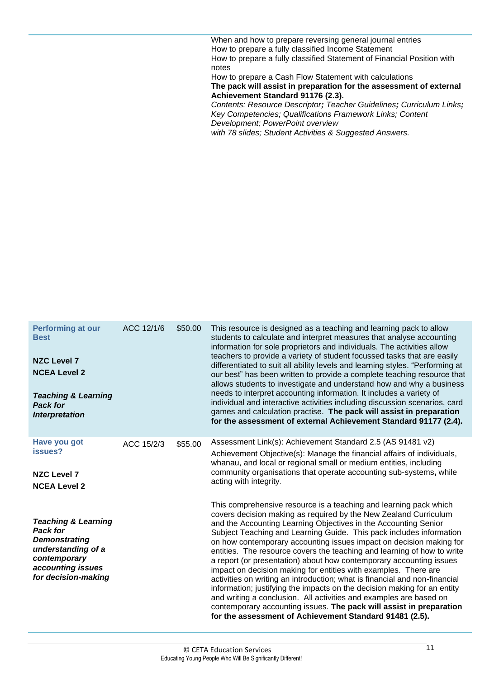When and how to prepare reversing general journal entries How to prepare a fully classified Income Statement How to prepare a fully classified Statement of Financial Position with notes

How to prepare a Cash Flow Statement with calculations **The pack will assist in preparation for the assessment of external Achievement Standard 91176 (2.3).** *Contents: Resource Descriptor; Teacher Guidelines; Curriculum Links;* 

*Key Competencies; Qualifications Framework Links; Content Development; PowerPoint overview with 78 slides; Student Activities & Suggested Answers.*

<span id="page-14-1"></span><span id="page-14-0"></span>**Performing at our Best NZC Level 7 NCEA Level 2** *Teaching & Learning Pack for Interpretation* ACC 12/1/6 \$50.00 This resource is designed as a teaching and learning pack to allow students to calculate and interpret measures that analyse accounting information for sole proprietors and individuals. The activities allow teachers to provide a variety of student focussed tasks that are easily differentiated to suit all ability levels and learning styles. "Performing at our best" has been written to provide a complete teaching resource that allows students to investigate and understand how and why a business needs to interpret accounting information. It includes a variety of individual and interactive activities including discussion scenarios, card games and calculation practise. **The pack will assist in preparation for the assessment of external Achievement Standard 91177 (2.4). Have you got issues? NZC Level 7 NCEA Level 2** *Teaching & Learning Pack for Demonstrating understanding of a contemporary accounting issues for decision-making* ACC 15/2/3 \$55.00 Assessment Link(s): Achievement Standard 2.5 (AS 91481 v2) Achievement Objective(s): Manage the financial affairs of individuals, whanau, and local or regional small or medium entities, including community organisations that operate accounting sub-systems**,** while acting with integrity. This comprehensive resource is a teaching and learning pack which covers decision making as required by the New Zealand Curriculum and the Accounting Learning Objectives in the Accounting Senior Subject Teaching and Learning Guide. This pack includes information on how contemporary accounting issues impact on decision making for entities. The resource covers the teaching and learning of how to write a report (or presentation) about how contemporary accounting issues impact on decision making for entities with examples. There are activities on writing an introduction; what is financial and non-financial information; justifying the impacts on the decision making for an entity and writing a conclusion. All activities and examples are based on contemporary accounting issues. **The pack will assist in preparation for the assessment of Achievement Standard 91481 (2.5).**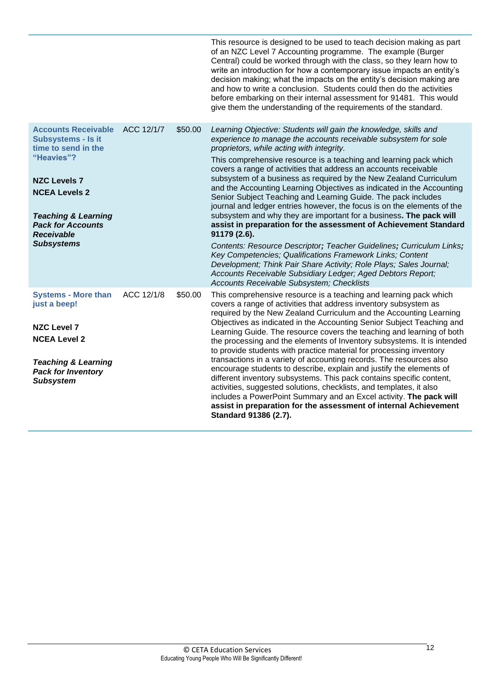<span id="page-15-1"></span><span id="page-15-0"></span>

|                                                                                                                                                                                                                                                     |            |         | This resource is designed to be used to teach decision making as part<br>of an NZC Level 7 Accounting programme. The example (Burger<br>Central) could be worked through with the class, so they learn how to<br>write an introduction for how a contemporary issue impacts an entity's<br>decision making; what the impacts on the entity's decision making are<br>and how to write a conclusion. Students could then do the activities<br>before embarking on their internal assessment for 91481. This would<br>give them the understanding of the requirements of the standard.                                                                                                                                                                                                                                                                                                                                                                                                                                                                                                                  |
|-----------------------------------------------------------------------------------------------------------------------------------------------------------------------------------------------------------------------------------------------------|------------|---------|------------------------------------------------------------------------------------------------------------------------------------------------------------------------------------------------------------------------------------------------------------------------------------------------------------------------------------------------------------------------------------------------------------------------------------------------------------------------------------------------------------------------------------------------------------------------------------------------------------------------------------------------------------------------------------------------------------------------------------------------------------------------------------------------------------------------------------------------------------------------------------------------------------------------------------------------------------------------------------------------------------------------------------------------------------------------------------------------------|
| <b>Accounts Receivable</b><br><b>Subsystems - Is it</b><br>time to send in the<br>"Heavies"?<br><b>NZC Levels 7</b><br><b>NCEA Levels 2</b><br><b>Teaching &amp; Learning</b><br><b>Pack for Accounts</b><br><b>Receivable</b><br><b>Subsystems</b> | ACC 12/1/7 | \$50.00 | Learning Objective: Students will gain the knowledge, skills and<br>experience to manage the accounts receivable subsystem for sole<br>proprietors, while acting with integrity.<br>This comprehensive resource is a teaching and learning pack which<br>covers a range of activities that address an accounts receivable<br>subsystem of a business as required by the New Zealand Curriculum<br>and the Accounting Learning Objectives as indicated in the Accounting<br>Senior Subject Teaching and Learning Guide. The pack includes<br>journal and ledger entries however, the focus is on the elements of the<br>subsystem and why they are important for a business. The pack will<br>assist in preparation for the assessment of Achievement Standard<br>91179 (2.6).<br>Contents: Resource Descriptor; Teacher Guidelines; Curriculum Links;<br>Key Competencies; Qualifications Framework Links; Content<br>Development; Think Pair Share Activity; Role Plays; Sales Journal;<br>Accounts Receivable Subsidiary Ledger; Aged Debtors Report;<br>Accounts Receivable Subsystem; Checklists |
| <b>Systems - More than</b><br>just a beep!<br><b>NZC Level 7</b><br><b>NCEA Level 2</b><br><b>Teaching &amp; Learning</b><br><b>Pack for Inventory</b><br><b>Subsystem</b>                                                                          | ACC 12/1/8 | \$50.00 | This comprehensive resource is a teaching and learning pack which<br>covers a range of activities that address inventory subsystem as<br>required by the New Zealand Curriculum and the Accounting Learning<br>Objectives as indicated in the Accounting Senior Subject Teaching and<br>Learning Guide. The resource covers the teaching and learning of both<br>the processing and the elements of Inventory subsystems. It is intended<br>to provide students with practice material for processing inventory<br>transactions in a variety of accounting records. The resources also<br>encourage students to describe, explain and justify the elements of<br>different inventory subsystems. This pack contains specific content,<br>activities, suggested solutions, checklists, and templates, it also<br>includes a PowerPoint Summary and an Excel activity. The pack will<br>assist in preparation for the assessment of internal Achievement<br>Standard 91386 (2.7).                                                                                                                      |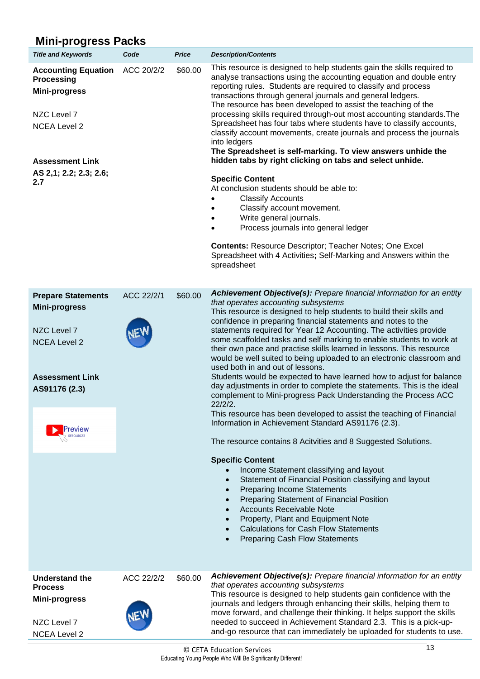### **Mini-progress Packs**

| יפיין ייייי<br>.                                                                                               |                          |              |                                                                                                                                                                                                                                                                                                                                                                                                                                                                                                                                                                                                                                                       |  |            |                                                                                                                                                                                                                                                                                                                                                                                                                                                                                                                                                                                                                                                                                                                                                                                                                                                                   |
|----------------------------------------------------------------------------------------------------------------|--------------------------|--------------|-------------------------------------------------------------------------------------------------------------------------------------------------------------------------------------------------------------------------------------------------------------------------------------------------------------------------------------------------------------------------------------------------------------------------------------------------------------------------------------------------------------------------------------------------------------------------------------------------------------------------------------------------------|--|------------|-------------------------------------------------------------------------------------------------------------------------------------------------------------------------------------------------------------------------------------------------------------------------------------------------------------------------------------------------------------------------------------------------------------------------------------------------------------------------------------------------------------------------------------------------------------------------------------------------------------------------------------------------------------------------------------------------------------------------------------------------------------------------------------------------------------------------------------------------------------------|
| <b>Title and Keywords</b>                                                                                      | Code                     | <b>Price</b> | <b>Description/Contents</b>                                                                                                                                                                                                                                                                                                                                                                                                                                                                                                                                                                                                                           |  |            |                                                                                                                                                                                                                                                                                                                                                                                                                                                                                                                                                                                                                                                                                                                                                                                                                                                                   |
| <b>Accounting Equation</b><br><b>Processing</b><br><b>Mini-progress</b><br>NZC Level 7<br><b>NCEA Level 2</b>  | ACC 20/2/2               | \$60.00      | This resource is designed to help students gain the skills required to<br>analyse transactions using the accounting equation and double entry<br>reporting rules. Students are required to classify and process<br>transactions through general journals and general ledgers.<br>The resource has been developed to assist the teaching of the<br>processing skills required through-out most accounting standards. The<br>Spreadsheet has four tabs where students have to classify accounts,<br>classify account movements, create journals and process the journals<br>into ledgers<br>The Spreadsheet is self-marking. To view answers unhide the |  |            |                                                                                                                                                                                                                                                                                                                                                                                                                                                                                                                                                                                                                                                                                                                                                                                                                                                                   |
| <b>Assessment Link</b>                                                                                         |                          |              | hidden tabs by right clicking on tabs and select unhide.                                                                                                                                                                                                                                                                                                                                                                                                                                                                                                                                                                                              |  |            |                                                                                                                                                                                                                                                                                                                                                                                                                                                                                                                                                                                                                                                                                                                                                                                                                                                                   |
| AS 2,1; 2.2; 2.3; 2.6;<br>2.7                                                                                  |                          |              | <b>Specific Content</b><br>At conclusion students should be able to:<br><b>Classify Accounts</b><br>Classify account movement.<br>Write general journals.<br>Process journals into general ledger<br>$\bullet$<br><b>Contents: Resource Descriptor; Teacher Notes; One Excel</b><br>Spreadsheet with 4 Activities; Self-Marking and Answers within the<br>spreadsheet                                                                                                                                                                                                                                                                                 |  |            |                                                                                                                                                                                                                                                                                                                                                                                                                                                                                                                                                                                                                                                                                                                                                                                                                                                                   |
| <b>Prepare Statements</b>                                                                                      | ACC 22/2/1               | \$60.00      | Achievement Objective(s): Prepare financial information for an entity                                                                                                                                                                                                                                                                                                                                                                                                                                                                                                                                                                                 |  |            |                                                                                                                                                                                                                                                                                                                                                                                                                                                                                                                                                                                                                                                                                                                                                                                                                                                                   |
| <b>Mini-progress</b><br>NZC Level 7<br><b>NCEA Level 2</b><br><b>Assessment Link</b><br>AS91176 (2.3)<br>eview |                          |              |                                                                                                                                                                                                                                                                                                                                                                                                                                                                                                                                                                                                                                                       |  | $22/2/2$ . | that operates accounting subsystems<br>This resource is designed to help students to build their skills and<br>confidence in preparing financial statements and notes to the<br>statements required for Year 12 Accounting. The activities provide<br>some scaffolded tasks and self marking to enable students to work at<br>their own pace and practise skills learned in lessons. This resource<br>would be well suited to being uploaded to an electronic classroom and<br>used both in and out of lessons.<br>Students would be expected to have learned how to adjust for balance<br>day adjustments in order to complete the statements. This is the ideal<br>complement to Mini-progress Pack Understanding the Process ACC<br>This resource has been developed to assist the teaching of Financial<br>Information in Achievement Standard AS91176 (2.3). |
|                                                                                                                |                          |              | The resource contains 8 Acitvities and 8 Suggested Solutions.                                                                                                                                                                                                                                                                                                                                                                                                                                                                                                                                                                                         |  |            |                                                                                                                                                                                                                                                                                                                                                                                                                                                                                                                                                                                                                                                                                                                                                                                                                                                                   |
|                                                                                                                |                          |              | <b>Specific Content</b><br>Income Statement classifying and layout<br>Statement of Financial Position classifying and layout<br><b>Preparing Income Statements</b><br>Preparing Statement of Financial Position<br><b>Accounts Receivable Note</b><br>Property, Plant and Equipment Note<br><b>Calculations for Cash Flow Statements</b><br><b>Preparing Cash Flow Statements</b><br>$\bullet$                                                                                                                                                                                                                                                        |  |            |                                                                                                                                                                                                                                                                                                                                                                                                                                                                                                                                                                                                                                                                                                                                                                                                                                                                   |
| <b>Understand the</b><br><b>Process</b><br><b>Mini-progress</b>                                                | ACC 22/2/2<br><b>NEW</b> | \$60.00      | Achievement Objective(s): Prepare financial information for an entity<br>that operates accounting subsystems<br>This resource is designed to help students gain confidence with the<br>journals and ledgers through enhancing their skills, helping them to<br>move forward, and challenge their thinking. It helps support the skills                                                                                                                                                                                                                                                                                                                |  |            |                                                                                                                                                                                                                                                                                                                                                                                                                                                                                                                                                                                                                                                                                                                                                                                                                                                                   |

NZC Level 7 NCEA Level 2



needed to succeed in Achievement Standard 2.3. This is a pick-upand-go resource that can immediately be uploaded for students to use.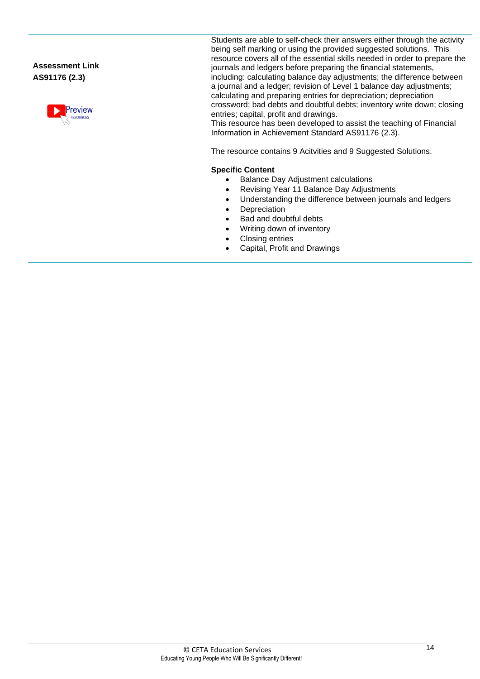**Assessment Link AS91176 (2.3)**



Students are able to self-check their answers either through the activity being self marking or using the provided suggested solutions. This resource covers all of the essential skills needed in order to prepare the journals and ledgers before preparing the financial statements, including: calculating balance day adjustments; the difference between a journal and a ledger; revision of Level 1 balance day adjustments; calculating and preparing entries for depreciation; depreciation crossword; bad debts and doubtful debts; inventory write down; closing entries; capital, profit and drawings.

This resource has been developed to assist the teaching of Financial Information in Achievement Standard AS91176 (2.3).

The resource contains 9 Acitvities and 9 Suggested Solutions.

#### **Specific Content**

- Balance Day Adjustment calculations
- Revising Year 11 Balance Day Adjustments
- Understanding the difference between journals and ledgers
- Depreciation
- Bad and doubtful debts
- Writing down of inventory
- Closing entries
- Capital, Profit and Drawings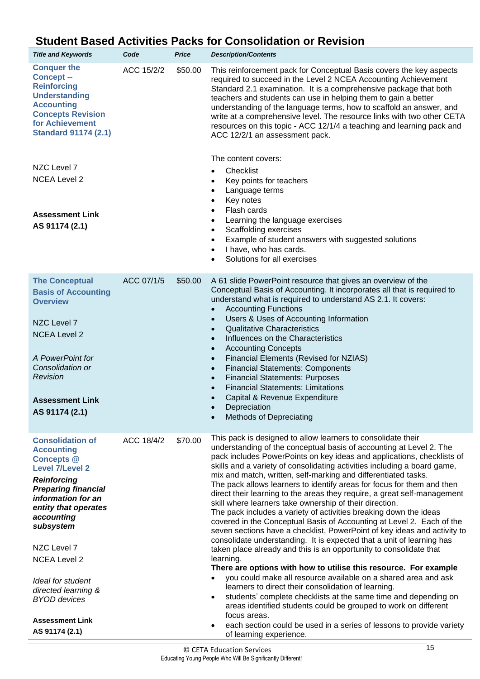### <span id="page-18-0"></span>**Student Based Activities Packs for Consolidation or Revision**

| <b>Title and Keywords</b>                                                                                                                                                                                                                                                                                                                                                     | Code       | <b>Price</b> | <b>Description/Contents</b>                                                                                                                                                                                                                                                                                                                                                                                                                                                                                                                                                                                                                                                                                                                                                                                                                                                                                                                                                                                                                                                                                                                                                                                                                                                                                                                                                                                                           |
|-------------------------------------------------------------------------------------------------------------------------------------------------------------------------------------------------------------------------------------------------------------------------------------------------------------------------------------------------------------------------------|------------|--------------|---------------------------------------------------------------------------------------------------------------------------------------------------------------------------------------------------------------------------------------------------------------------------------------------------------------------------------------------------------------------------------------------------------------------------------------------------------------------------------------------------------------------------------------------------------------------------------------------------------------------------------------------------------------------------------------------------------------------------------------------------------------------------------------------------------------------------------------------------------------------------------------------------------------------------------------------------------------------------------------------------------------------------------------------------------------------------------------------------------------------------------------------------------------------------------------------------------------------------------------------------------------------------------------------------------------------------------------------------------------------------------------------------------------------------------------|
| <b>Conquer the</b><br><b>Concept --</b><br><b>Reinforcing</b><br><b>Understanding</b><br><b>Accounting</b><br><b>Concepts Revision</b><br>for Achievement<br><b>Standard 91174 (2.1)</b>                                                                                                                                                                                      | ACC 15/2/2 | \$50.00      | This reinforcement pack for Conceptual Basis covers the key aspects<br>required to succeed in the Level 2 NCEA Accounting Achievement<br>Standard 2.1 examination. It is a comprehensive package that both<br>teachers and students can use in helping them to gain a better<br>understanding of the language terms, how to scaffold an answer, and<br>write at a comprehensive level. The resource links with two other CETA<br>resources on this topic - ACC 12/1/4 a teaching and learning pack and<br>ACC 12/2/1 an assessment pack.                                                                                                                                                                                                                                                                                                                                                                                                                                                                                                                                                                                                                                                                                                                                                                                                                                                                                              |
| NZC Level 7<br><b>NCEA Level 2</b><br><b>Assessment Link</b><br>AS 91174 (2.1)                                                                                                                                                                                                                                                                                                |            |              | The content covers:<br>Checklist<br>Key points for teachers<br>Language terms<br>$\bullet$<br>Key notes<br>$\bullet$<br>Flash cards<br>$\bullet$<br>Learning the language exercises<br>٠<br>Scaffolding exercises<br>$\bullet$<br>Example of student answers with suggested solutions<br>I have, who has cards.<br>$\bullet$<br>Solutions for all exercises                                                                                                                                                                                                                                                                                                                                                                                                                                                                                                                                                                                                                                                                                                                                                                                                                                                                                                                                                                                                                                                                           |
| <b>The Conceptual</b><br><b>Basis of Accounting</b><br><b>Overview</b><br>NZC Level 7<br><b>NCEA Level 2</b><br>A PowerPoint for<br>Consolidation or<br>Revision<br><b>Assessment Link</b><br>AS 91174 (2.1)                                                                                                                                                                  | ACC 07/1/5 | \$50.00      | A 61 slide PowerPoint resource that gives an overview of the<br>Conceptual Basis of Accounting. It incorporates all that is required to<br>understand what is required to understand AS 2.1. It covers:<br><b>Accounting Functions</b><br>Users & Uses of Accounting Information<br><b>Qualitative Characteristics</b><br>$\bullet$<br>Influences on the Characteristics<br>$\bullet$<br><b>Accounting Concepts</b><br>$\bullet$<br>Financial Elements (Revised for NZIAS)<br>$\bullet$<br><b>Financial Statements: Components</b><br>$\bullet$<br><b>Financial Statements: Purposes</b><br>$\bullet$<br><b>Financial Statements: Limitations</b><br>Capital & Revenue Expenditure<br>Depreciation<br><b>Methods of Depreciating</b>                                                                                                                                                                                                                                                                                                                                                                                                                                                                                                                                                                                                                                                                                                  |
| <b>Consolidation of</b><br><b>Accounting</b><br><b>Concepts @</b><br><b>Level 7/Level 2</b><br><b>Reinforcing</b><br><b>Preparing financial</b><br>information for an<br>entity that operates<br>accounting<br>subsystem<br>NZC Level 7<br><b>NCEA Level 2</b><br>Ideal for student<br>directed learning &<br><b>BYOD</b> devices<br><b>Assessment Link</b><br>AS 91174 (2.1) | ACC 18/4/2 | \$70.00      | This pack is designed to allow learners to consolidate their<br>understanding of the conceptual basis of accounting at Level 2. The<br>pack includes PowerPoints on key ideas and applications, checklists of<br>skills and a variety of consolidating activities including a board game,<br>mix and match, written, self-marking and differentiated tasks.<br>The pack allows learners to identify areas for focus for them and then<br>direct their learning to the areas they require, a great self-management<br>skill where learners take ownership of their direction.<br>The pack includes a variety of activities breaking down the ideas<br>covered in the Conceptual Basis of Accounting at Level 2. Each of the<br>seven sections have a checklist, PowerPoint of key ideas and activity to<br>consolidate understanding. It is expected that a unit of learning has<br>taken place already and this is an opportunity to consolidate that<br>learning.<br>There are options with how to utilise this resource. For example<br>you could make all resource available on a shared area and ask<br>learners to direct their consolidation of learning.<br>students' complete checklists at the same time and depending on<br>$\bullet$<br>areas identified students could be grouped to work on different<br>focus areas.<br>each section could be used in a series of lessons to provide variety<br>of learning experience. |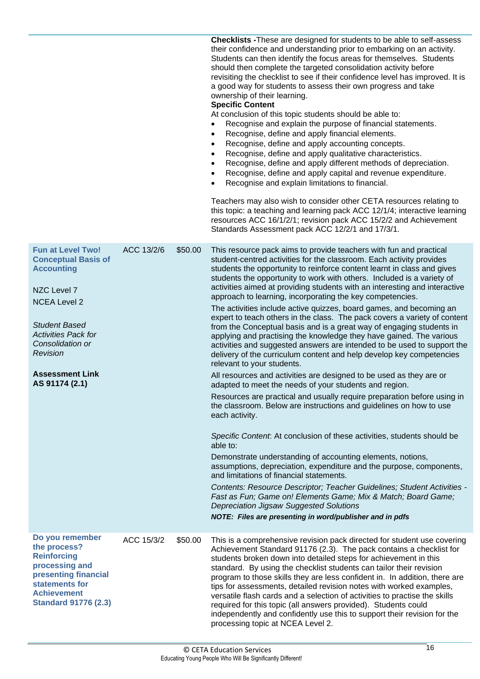|                                                                                                                                                                                                                                                     |            |         | <b>Checklists - These are designed for students to be able to self-assess</b><br>their confidence and understanding prior to embarking on an activity.<br>Students can then identify the focus areas for themselves. Students<br>should then complete the targeted consolidation activity before<br>revisiting the checklist to see if their confidence level has improved. It is<br>a good way for students to assess their own progress and take<br>ownership of their learning.<br><b>Specific Content</b><br>At conclusion of this topic students should be able to:<br>Recognise and explain the purpose of financial statements.<br>Recognise, define and apply financial elements.<br>Recognise, define and apply accounting concepts.<br>Recognise, define and apply qualitative characteristics.<br>Recognise, define and apply different methods of depreciation.<br>Recognise, define and apply capital and revenue expenditure.<br>Recognise and explain limitations to financial.<br>Teachers may also wish to consider other CETA resources relating to<br>this topic: a teaching and learning pack ACC 12/1/4; interactive learning<br>resources ACC 16/1/2/1; revision pack ACC 15/2/2 and Achievement<br>Standards Assessment pack ACC 12/2/1 and 17/3/1.                                    |
|-----------------------------------------------------------------------------------------------------------------------------------------------------------------------------------------------------------------------------------------------------|------------|---------|---------------------------------------------------------------------------------------------------------------------------------------------------------------------------------------------------------------------------------------------------------------------------------------------------------------------------------------------------------------------------------------------------------------------------------------------------------------------------------------------------------------------------------------------------------------------------------------------------------------------------------------------------------------------------------------------------------------------------------------------------------------------------------------------------------------------------------------------------------------------------------------------------------------------------------------------------------------------------------------------------------------------------------------------------------------------------------------------------------------------------------------------------------------------------------------------------------------------------------------------------------------------------------------------------------------|
| <b>Fun at Level Two!</b><br><b>Conceptual Basis of</b><br><b>Accounting</b><br>NZC Level 7<br><b>NCEA Level 2</b><br><b>Student Based</b><br><b>Activities Pack for</b><br>Consolidation or<br>Revision<br><b>Assessment Link</b><br>AS 91174 (2.1) | ACC 13/2/6 | \$50.00 | This resource pack aims to provide teachers with fun and practical<br>student-centred activities for the classroom. Each activity provides<br>students the opportunity to reinforce content learnt in class and gives<br>students the opportunity to work with others. Included is a variety of<br>activities aimed at providing students with an interesting and interactive<br>approach to learning, incorporating the key competencies.<br>The activities include active quizzes, board games, and becoming an<br>expert to teach others in the class. The pack covers a variety of content<br>from the Conceptual basis and is a great way of engaging students in<br>applying and practising the knowledge they have gained. The various<br>activities and suggested answers are intended to be used to support the<br>delivery of the curriculum content and help develop key competencies<br>relevant to your students.<br>All resources and activities are designed to be used as they are or<br>adapted to meet the needs of your students and region.<br>Resources are practical and usually require preparation before using in<br>the classroom. Below are instructions and guidelines on how to use<br>each activity.<br>Specific Content. At conclusion of these activities, students should be |
|                                                                                                                                                                                                                                                     |            |         | able to:<br>Demonstrate understanding of accounting elements, notions,<br>assumptions, depreciation, expenditure and the purpose, components,<br>and limitations of financial statements.<br>Contents: Resource Descriptor; Teacher Guidelines; Student Activities -<br>Fast as Fun; Game on! Elements Game; Mix & Match; Board Game;<br><b>Depreciation Jigsaw Suggested Solutions</b><br>NOTE: Files are presenting in word/publisher and in pdfs                                                                                                                                                                                                                                                                                                                                                                                                                                                                                                                                                                                                                                                                                                                                                                                                                                                           |
| Do you remember<br>the process?<br><b>Reinforcing</b><br>processing and<br>presenting financial<br>statements for<br><b>Achievement</b><br><b>Standard 91776 (2.3)</b>                                                                              | ACC 15/3/2 | \$50.00 | This is a comprehensive revision pack directed for student use covering<br>Achievement Standard 91176 (2.3). The pack contains a checklist for<br>students broken down into detailed steps for achievement in this<br>standard. By using the checklist students can tailor their revision<br>program to those skills they are less confident in. In addition, there are<br>tips for assessments, detailed revision notes with worked examples,<br>versatile flash cards and a selection of activities to practise the skills<br>required for this topic (all answers provided). Students could<br>independently and confidently use this to support their revision for the<br>processing topic at NCEA Level 2.                                                                                                                                                                                                                                                                                                                                                                                                                                                                                                                                                                                               |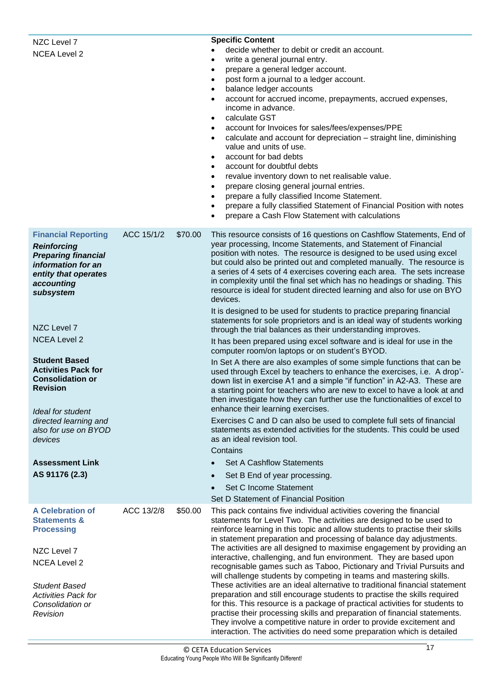<span id="page-20-0"></span>

| NZC Level 7<br><b>NCEA Level 2</b>                                                                                                                      |            |         | <b>Specific Content</b><br>decide whether to debit or credit an account.<br>write a general journal entry.<br>prepare a general ledger account.<br>$\bullet$<br>post form a journal to a ledger account.<br>balance ledger accounts<br>٠<br>account for accrued income, prepayments, accrued expenses,<br>income in advance.<br>calculate GST<br>$\bullet$<br>account for Invoices for sales/fees/expenses/PPE<br>calculate and account for depreciation - straight line, diminishing<br>value and units of use.<br>account for bad debts<br>$\bullet$<br>account for doubtful debts<br>revalue inventory down to net realisable value.<br>٠<br>prepare closing general journal entries.<br>٠<br>prepare a fully classified Income Statement.<br>٠<br>prepare a fully classified Statement of Financial Position with notes<br>$\bullet$<br>prepare a Cash Flow Statement with calculations |
|---------------------------------------------------------------------------------------------------------------------------------------------------------|------------|---------|---------------------------------------------------------------------------------------------------------------------------------------------------------------------------------------------------------------------------------------------------------------------------------------------------------------------------------------------------------------------------------------------------------------------------------------------------------------------------------------------------------------------------------------------------------------------------------------------------------------------------------------------------------------------------------------------------------------------------------------------------------------------------------------------------------------------------------------------------------------------------------------------|
| <b>Financial Reporting</b><br><b>Reinforcing</b><br><b>Preparing financial</b><br>information for an<br>entity that operates<br>accounting<br>subsystem | ACC 15/1/2 | \$70.00 | This resource consists of 16 questions on Cashflow Statements, End of<br>year processing, Income Statements, and Statement of Financial<br>position with notes. The resource is designed to be used using excel<br>but could also be printed out and completed manually. The resource is<br>a series of 4 sets of 4 exercises covering each area. The sets increase<br>in complexity until the final set which has no headings or shading. This<br>resource is ideal for student directed learning and also for use on BYO<br>devices.                                                                                                                                                                                                                                                                                                                                                      |
|                                                                                                                                                         |            |         | It is designed to be used for students to practice preparing financial<br>statements for sole proprietors and is an ideal way of students working                                                                                                                                                                                                                                                                                                                                                                                                                                                                                                                                                                                                                                                                                                                                           |
| NZC Level 7                                                                                                                                             |            |         | through the trial balances as their understanding improves.                                                                                                                                                                                                                                                                                                                                                                                                                                                                                                                                                                                                                                                                                                                                                                                                                                 |
| <b>NCEA Level 2</b>                                                                                                                                     |            |         | It has been prepared using excel software and is ideal for use in the<br>computer room/on laptops or on student's BYOD.                                                                                                                                                                                                                                                                                                                                                                                                                                                                                                                                                                                                                                                                                                                                                                     |
| <b>Student Based</b><br><b>Activities Pack for</b><br><b>Consolidation or</b><br>Revision<br>Ideal for student                                          |            |         | In Set A there are also examples of some simple functions that can be<br>used through Excel by teachers to enhance the exercises, i.e. A drop'-<br>down list in exercise A1 and a simple "if function" in A2-A3. These are<br>a starting point for teachers who are new to excel to have a look at and<br>then investigate how they can further use the functionalities of excel to<br>enhance their learning exercises.                                                                                                                                                                                                                                                                                                                                                                                                                                                                    |
| directed learning and<br>also for use on BYOD<br>devices                                                                                                |            |         | Exercises C and D can also be used to complete full sets of financial<br>statements as extended activities for the students. This could be used<br>as an ideal revision tool.<br>Contains                                                                                                                                                                                                                                                                                                                                                                                                                                                                                                                                                                                                                                                                                                   |
| <b>Assessment Link</b>                                                                                                                                  |            |         | <b>Set A Cashflow Statements</b>                                                                                                                                                                                                                                                                                                                                                                                                                                                                                                                                                                                                                                                                                                                                                                                                                                                            |
| AS 91176 (2.3)                                                                                                                                          |            |         | Set B End of year processing.                                                                                                                                                                                                                                                                                                                                                                                                                                                                                                                                                                                                                                                                                                                                                                                                                                                               |
|                                                                                                                                                         |            |         | Set C Income Statement                                                                                                                                                                                                                                                                                                                                                                                                                                                                                                                                                                                                                                                                                                                                                                                                                                                                      |
| <b>A Celebration of</b>                                                                                                                                 | ACC 13/2/8 | \$50.00 | Set D Statement of Financial Position<br>This pack contains five individual activities covering the financial                                                                                                                                                                                                                                                                                                                                                                                                                                                                                                                                                                                                                                                                                                                                                                               |
| <b>Statements &amp;</b><br><b>Processing</b><br>NZC Level 7<br><b>NCEA Level 2</b><br><b>Student Based</b>                                              |            |         | statements for Level Two. The activities are designed to be used to<br>reinforce learning in this topic and allow students to practise their skills<br>in statement preparation and processing of balance day adjustments.<br>The activities are all designed to maximise engagement by providing an<br>interactive, challenging, and fun environment. They are based upon<br>recognisable games such as Taboo, Pictionary and Trivial Pursuits and<br>will challenge students by competing in teams and mastering skills.<br>These activities are an ideal alternative to traditional financial statement                                                                                                                                                                                                                                                                                  |
| <b>Activities Pack for</b><br>Consolidation or<br>Revision                                                                                              |            |         | preparation and still encourage students to practise the skills required<br>for this. This resource is a package of practical activities for students to<br>practise their processing skills and preparation of financial statements.<br>They involve a competitive nature in order to provide excitement and<br>interaction. The activities do need some preparation which is detailed                                                                                                                                                                                                                                                                                                                                                                                                                                                                                                     |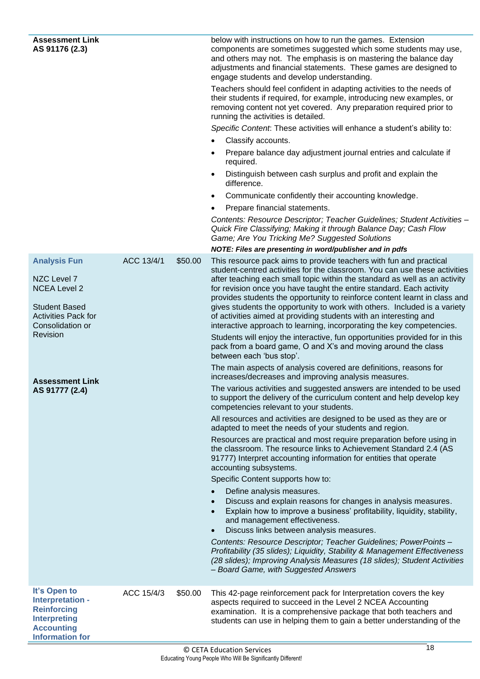<span id="page-21-0"></span>

| <b>Assessment Link</b><br>AS 91176 (2.3)                                                                                                                                    |            |         | below with instructions on how to run the games. Extension<br>components are sometimes suggested which some students may use,<br>and others may not. The emphasis is on mastering the balance day<br>adjustments and financial statements. These games are designed to<br>engage students and develop understanding.<br>Teachers should feel confident in adapting activities to the needs of<br>their students if required, for example, introducing new examples, or<br>removing content not yet covered. Any preparation required prior to<br>running the activities is detailed.<br>Specific Content: These activities will enhance a student's ability to:<br>Classify accounts.<br>$\bullet$<br>Prepare balance day adjustment journal entries and calculate if<br>required.<br>Distinguish between cash surplus and profit and explain the<br>difference.<br>Communicate confidently their accounting knowledge.<br>Prepare financial statements.<br>Contents: Resource Descriptor; Teacher Guidelines; Student Activities -<br>Quick Fire Classifying; Making it through Balance Day; Cash Flow<br>Game; Are You Tricking Me? Suggested Solutions                                                                                                                                                                                                                                                                                                                                                                                                                                                                                                                                                                                                                                                                                                                                                                                                                                     |
|-----------------------------------------------------------------------------------------------------------------------------------------------------------------------------|------------|---------|-----------------------------------------------------------------------------------------------------------------------------------------------------------------------------------------------------------------------------------------------------------------------------------------------------------------------------------------------------------------------------------------------------------------------------------------------------------------------------------------------------------------------------------------------------------------------------------------------------------------------------------------------------------------------------------------------------------------------------------------------------------------------------------------------------------------------------------------------------------------------------------------------------------------------------------------------------------------------------------------------------------------------------------------------------------------------------------------------------------------------------------------------------------------------------------------------------------------------------------------------------------------------------------------------------------------------------------------------------------------------------------------------------------------------------------------------------------------------------------------------------------------------------------------------------------------------------------------------------------------------------------------------------------------------------------------------------------------------------------------------------------------------------------------------------------------------------------------------------------------------------------------------------------------------------------------------------------------------------------------------|
| <b>Analysis Fun</b>                                                                                                                                                         | ACC 13/4/1 | \$50.00 | NOTE: Files are presenting in word/publisher and in pdfs<br>This resource pack aims to provide teachers with fun and practical                                                                                                                                                                                                                                                                                                                                                                                                                                                                                                                                                                                                                                                                                                                                                                                                                                                                                                                                                                                                                                                                                                                                                                                                                                                                                                                                                                                                                                                                                                                                                                                                                                                                                                                                                                                                                                                                |
| NZC Level 7<br><b>NCEA Level 2</b><br><b>Student Based</b><br><b>Activities Pack for</b><br>Consolidation or<br><b>Revision</b><br><b>Assessment Link</b><br>AS 91777 (2.4) |            |         | student-centred activities for the classroom. You can use these activities<br>after teaching each small topic within the standard as well as an activity<br>for revision once you have taught the entire standard. Each activity<br>provides students the opportunity to reinforce content learnt in class and<br>gives students the opportunity to work with others. Included is a variety<br>of activities aimed at providing students with an interesting and<br>interactive approach to learning, incorporating the key competencies.<br>Students will enjoy the interactive, fun opportunities provided for in this<br>pack from a board game, O and X's and moving around the class<br>between each 'bus stop'.<br>The main aspects of analysis covered are definitions, reasons for<br>increases/decreases and improving analysis measures.<br>The various activities and suggested answers are intended to be used<br>to support the delivery of the curriculum content and help develop key<br>competencies relevant to your students.<br>All resources and activities are designed to be used as they are or<br>adapted to meet the needs of your students and region.<br>Resources are practical and most require preparation before using in<br>the classroom. The resource links to Achievement Standard 2.4 (AS<br>91777) Interpret accounting information for entities that operate<br>accounting subsystems.<br>Specific Content supports how to:<br>Define analysis measures.<br>Discuss and explain reasons for changes in analysis measures.<br>Explain how to improve a business' profitability, liquidity, stability,<br>and management effectiveness.<br>Discuss links between analysis measures.<br>Contents: Resource Descriptor; Teacher Guidelines; PowerPoints -<br>Profitability (35 slides); Liquidity, Stability & Management Effectiveness<br>(28 slides); Improving Analysis Measures (18 slides); Student Activities<br>- Board Game, with Suggested Answers |
| It's Open to<br>Interpretation -<br><b>Reinforcing</b><br><b>Interpreting</b><br><b>Accounting</b><br><b>Information for</b>                                                | ACC 15/4/3 | \$50.00 | This 42-page reinforcement pack for Interpretation covers the key<br>aspects required to succeed in the Level 2 NCEA Accounting<br>examination. It is a comprehensive package that both teachers and<br>students can use in helping them to gain a better understanding of the                                                                                                                                                                                                                                                                                                                                                                                                                                                                                                                                                                                                                                                                                                                                                                                                                                                                                                                                                                                                                                                                                                                                                                                                                                                                                                                                                                                                                                                                                                                                                                                                                                                                                                                |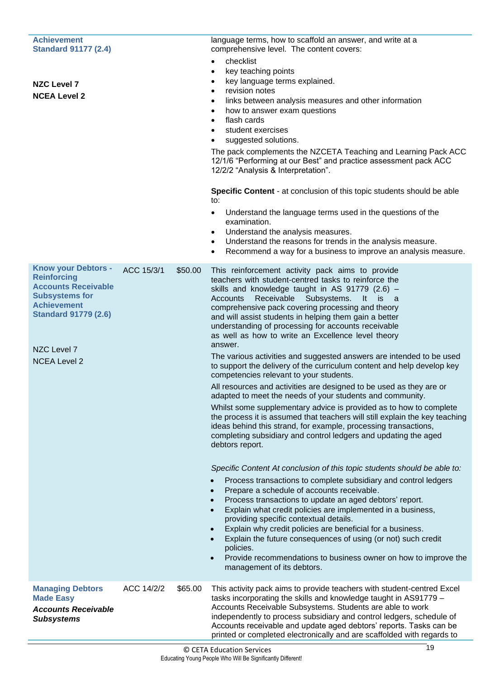| <b>Achievement</b><br><b>Standard 91177 (2.4)</b>                                                                                                                                                  |            |         | language terms, how to scaffold an answer, and write at a<br>comprehensive level. The content covers:                                                                                                                                                                                                                                                                                                                                                                                                                                                                                                                                                                                                                                                                                                                                                                                                                                                                                                                                                                                                                                                                                                                                                                                                                                                                                                                                                                                                                                                                                                                                                                                                                 |
|----------------------------------------------------------------------------------------------------------------------------------------------------------------------------------------------------|------------|---------|-----------------------------------------------------------------------------------------------------------------------------------------------------------------------------------------------------------------------------------------------------------------------------------------------------------------------------------------------------------------------------------------------------------------------------------------------------------------------------------------------------------------------------------------------------------------------------------------------------------------------------------------------------------------------------------------------------------------------------------------------------------------------------------------------------------------------------------------------------------------------------------------------------------------------------------------------------------------------------------------------------------------------------------------------------------------------------------------------------------------------------------------------------------------------------------------------------------------------------------------------------------------------------------------------------------------------------------------------------------------------------------------------------------------------------------------------------------------------------------------------------------------------------------------------------------------------------------------------------------------------------------------------------------------------------------------------------------------------|
| <b>NZC Level 7</b><br><b>NCEA Level 2</b>                                                                                                                                                          |            |         | checklist<br>$\bullet$<br>key teaching points<br>$\bullet$<br>key language terms explained.<br>revision notes<br>links between analysis measures and other information<br>how to answer exam questions<br>flash cards<br>$\bullet$<br>student exercises<br>suggested solutions.<br>The pack complements the NZCETA Teaching and Learning Pack ACC<br>12/1/6 "Performing at our Best" and practice assessment pack ACC<br>12/2/2 "Analysis & Interpretation".<br>Specific Content - at conclusion of this topic students should be able<br>to:<br>Understand the language terms used in the questions of the<br>٠<br>examination.<br>Understand the analysis measures.<br>٠<br>Understand the reasons for trends in the analysis measure.<br>Recommend a way for a business to improve an analysis measure.<br>٠                                                                                                                                                                                                                                                                                                                                                                                                                                                                                                                                                                                                                                                                                                                                                                                                                                                                                                       |
| <b>Know your Debtors -</b><br><b>Reinforcing</b><br><b>Accounts Receivable</b><br><b>Subsystems for</b><br><b>Achievement</b><br><b>Standard 91779 (2.6)</b><br>NZC Level 7<br><b>NCEA Level 2</b> | ACC 15/3/1 | \$50.00 | This reinforcement activity pack aims to provide<br>teachers with student-centred tasks to reinforce the<br>skills and knowledge taught in AS 91779 (2.6) -<br>Receivable<br>Subsystems. It is<br>Accounts<br>a a<br>comprehensive pack covering processing and theory<br>and will assist students in helping them gain a better<br>understanding of processing for accounts receivable<br>as well as how to write an Excellence level theory<br>answer.<br>The various activities and suggested answers are intended to be used<br>to support the delivery of the curriculum content and help develop key<br>competencies relevant to your students.<br>All resources and activities are designed to be used as they are or<br>adapted to meet the needs of your students and community.<br>Whilst some supplementary advice is provided as to how to complete<br>the process it is assumed that teachers will still explain the key teaching<br>ideas behind this strand, for example, processing transactions,<br>completing subsidiary and control ledgers and updating the aged<br>debtors report.<br>Specific Content At conclusion of this topic students should be able to:<br>Process transactions to complete subsidiary and control ledgers<br>Prepare a schedule of accounts receivable.<br>Process transactions to update an aged debtors' report.<br>Explain what credit policies are implemented in a business,<br>providing specific contextual details.<br>Explain why credit policies are beneficial for a business.<br>Explain the future consequences of using (or not) such credit<br>policies.<br>Provide recommendations to business owner on how to improve the<br>management of its debtors. |
| <b>Managing Debtors</b><br><b>Made Easy</b><br><b>Accounts Receivable</b><br><b>Subsystems</b>                                                                                                     | ACC 14/2/2 | \$65.00 | This activity pack aims to provide teachers with student-centred Excel<br>tasks incorporating the skills and knowledge taught in AS91779 -<br>Accounts Receivable Subsystems. Students are able to work<br>independently to process subsidiary and control ledgers, schedule of<br>Accounts receivable and update aged debtors' reports. Tasks can be<br>printed or completed electronically and are scaffolded with regards to                                                                                                                                                                                                                                                                                                                                                                                                                                                                                                                                                                                                                                                                                                                                                                                                                                                                                                                                                                                                                                                                                                                                                                                                                                                                                       |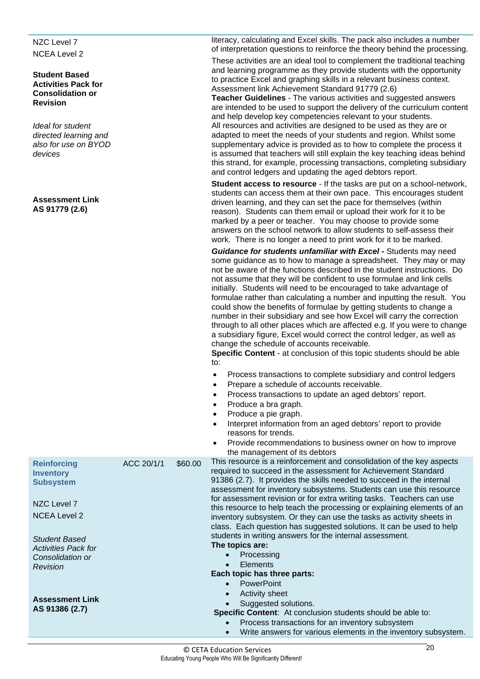NZC Level 7 NCEA Level 2

#### **Student Based Activities Pack for Consolidation or Revision**

*Ideal for student directed learning and also for use on BYOD devices*

**Assessment Link AS 91779 (2.6)**

**Reinforcing Inventory Subsystem**

NZC Level 7 NCEA Level 2

*Student Based Activities Pack for Consolidation or Revision*

**Assessment Link AS 91386 (2.7)**

literacy, calculating and Excel skills. The pack also includes a number of interpretation questions to reinforce the theory behind the processing.

These activities are an ideal tool to complement the traditional teaching and learning programme as they provide students with the opportunity to practice Excel and graphing skills in a relevant business context. Assessment link Achievement Standard 91779 (2.6)

**Teacher Guidelines** - The various activities and suggested answers are intended to be used to support the delivery of the curriculum content and help develop key competencies relevant to your students. All resources and activities are designed to be used as they are or adapted to meet the needs of your students and region. Whilst some supplementary advice is provided as to how to complete the process it is assumed that teachers will still explain the key teaching ideas behind this strand, for example, processing transactions, completing subsidiary and control ledgers and updating the aged debtors report.

**Student access to resource** - If the tasks are put on a school-network, students can access them at their own pace. This encourages student driven learning, and they can set the pace for themselves (within reason). Students can them email or upload their work for it to be marked by a peer or teacher. You may choose to provide some answers on the school network to allow students to self-assess their work. There is no longer a need to print work for it to be marked.

*Guidance for students unfamiliar with Excel -* Students may need some guidance as to how to manage a spreadsheet. They may or may not be aware of the functions described in the student instructions. Do not assume that they will be confident to use formulae and link cells initially. Students will need to be encouraged to take advantage of formulae rather than calculating a number and inputting the result. You could show the benefits of formulae by getting students to change a number in their subsidiary and see how Excel will carry the correction through to all other places which are affected e.g. If you were to change a subsidiary figure, Excel would correct the control ledger, as well as change the schedule of accounts receivable.

**Specific Content** - at conclusion of this topic students should be able to:

- Process transactions to complete subsidiary and control ledgers
- Prepare a schedule of accounts receivable.
- Process transactions to update an aged debtors' report.
- Produce a bra graph.
- Produce a pie graph.
- Interpret information from an aged debtors' report to provide reasons for trends.
- Provide recommendations to business owner on how to improve the management of its debtors

ACC 20/1/1  $$60.00$  This resource is a reinforcement and consolidation of the key aspects required to succeed in the assessment for Achievement Standard 91386 (2.7). It provides the skills needed to succeed in the internal assessment for inventory subsystems. Students can use this resource for assessment revision or for extra writing tasks. Teachers can use this resource to help teach the processing or explaining elements of an inventory subsystem. Or they can use the tasks as activity sheets in class. Each question has suggested solutions. It can be used to help students in writing answers for the internal assessment. **The topics are:**

- **Processing**
- Elements

#### **Each topic has three parts:**

- PowerPoint
- Activity sheet
- Suggested solutions.

**Specific Content**: At conclusion students should be able to:

- Process transactions for an inventory subsystem
- Write answers for various elements in the inventory subsystem.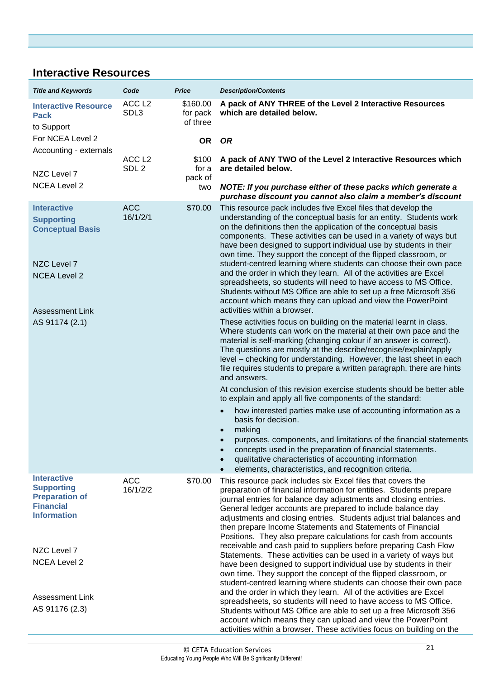### <span id="page-24-1"></span><span id="page-24-0"></span>**Interactive Resources**

<span id="page-24-4"></span><span id="page-24-3"></span><span id="page-24-2"></span>

| <b>Title and Keywords</b>                                                                                                                            | Code                                  | <b>Price</b>                     | <b>Description/Contents</b>                                                                                                                                                                                                                                                                                                                                                                                                                                                                                                                                                                                                                                                                                                                                                                                                                                                                                                                         |
|------------------------------------------------------------------------------------------------------------------------------------------------------|---------------------------------------|----------------------------------|-----------------------------------------------------------------------------------------------------------------------------------------------------------------------------------------------------------------------------------------------------------------------------------------------------------------------------------------------------------------------------------------------------------------------------------------------------------------------------------------------------------------------------------------------------------------------------------------------------------------------------------------------------------------------------------------------------------------------------------------------------------------------------------------------------------------------------------------------------------------------------------------------------------------------------------------------------|
| <b>Interactive Resource</b><br><b>Pack</b><br>to Support                                                                                             | ACC <sub>L2</sub><br>SDL3             | \$160.00<br>for pack<br>of three | A pack of ANY THREE of the Level 2 Interactive Resources<br>which are detailed below.                                                                                                                                                                                                                                                                                                                                                                                                                                                                                                                                                                                                                                                                                                                                                                                                                                                               |
| For NCEA Level 2<br>Accounting - externals                                                                                                           |                                       | <b>OR</b>                        | <b>OR</b>                                                                                                                                                                                                                                                                                                                                                                                                                                                                                                                                                                                                                                                                                                                                                                                                                                                                                                                                           |
| NZC Level 7                                                                                                                                          | ACC <sub>L2</sub><br>SDL <sub>2</sub> | \$100<br>for a<br>pack of        | A pack of ANY TWO of the Level 2 Interactive Resources which<br>are detailed below.                                                                                                                                                                                                                                                                                                                                                                                                                                                                                                                                                                                                                                                                                                                                                                                                                                                                 |
| <b>NCEA Level 2</b>                                                                                                                                  |                                       | two                              | NOTE: If you purchase either of these packs which generate a<br>purchase discount you cannot also claim a member's discount                                                                                                                                                                                                                                                                                                                                                                                                                                                                                                                                                                                                                                                                                                                                                                                                                         |
| <b>Interactive</b><br><b>Supporting</b><br><b>Conceptual Basis</b><br>NZC Level 7<br><b>NCEA Level 2</b><br><b>Assessment Link</b><br>AS 91174 (2.1) | <b>ACC</b><br>16/1/2/1                | \$70.00                          | This resource pack includes five Excel files that develop the<br>understanding of the conceptual basis for an entity. Students work<br>on the definitions then the application of the conceptual basis<br>components. These activities can be used in a variety of ways but<br>have been designed to support individual use by students in their<br>own time. They support the concept of the flipped classroom, or<br>student-centred learning where students can choose their own pace<br>and the order in which they learn. All of the activities are Excel<br>spreadsheets, so students will need to have access to MS Office.<br>Students without MS Office are able to set up a free Microsoft 356<br>account which means they can upload and view the PowerPoint<br>activities within a browser.<br>These activities focus on building on the material learnt in class.<br>Where students can work on the material at their own pace and the |
|                                                                                                                                                      |                                       |                                  | material is self-marking (changing colour if an answer is correct).<br>The questions are mostly at the describe/recognise/explain/apply<br>level – checking for understanding. However, the last sheet in each<br>file requires students to prepare a written paragraph, there are hints<br>and answers.<br>At conclusion of this revision exercise students should be better able<br>to explain and apply all five components of the standard:                                                                                                                                                                                                                                                                                                                                                                                                                                                                                                     |
|                                                                                                                                                      |                                       |                                  | how interested parties make use of accounting information as a<br>basis for decision.<br>making<br>purposes, components, and limitations of the financial statements<br>concepts used in the preparation of financial statements.<br>qualitative characteristics of accounting information<br>elements, characteristics, and recognition criteria.                                                                                                                                                                                                                                                                                                                                                                                                                                                                                                                                                                                                  |
| <b>Interactive</b><br><b>Supporting</b><br><b>Preparation of</b><br><b>Financial</b><br><b>Information</b><br>NZC Level 7<br><b>NCEA Level 2</b>     | <b>ACC</b><br>16/1/2/2                | \$70.00                          | This resource pack includes six Excel files that covers the<br>preparation of financial information for entities. Students prepare<br>journal entries for balance day adjustments and closing entries.<br>General ledger accounts are prepared to include balance day<br>adjustments and closing entries. Students adjust trial balances and<br>then prepare Income Statements and Statements of Financial<br>Positions. They also prepare calculations for cash from accounts<br>receivable and cash paid to suppliers before preparing Cash Flow<br>Statements. These activities can be used in a variety of ways but<br>have been designed to support individual use by students in their<br>own time. They support the concept of the flipped classroom, or<br>student-centred learning where students can choose their own pace                                                                                                                |
| <b>Assessment Link</b><br>AS 91176 (2.3)                                                                                                             |                                       |                                  | and the order in which they learn. All of the activities are Excel<br>spreadsheets, so students will need to have access to MS Office.<br>Students without MS Office are able to set up a free Microsoft 356<br>account which means they can upload and view the PowerPoint<br>activities within a browser. These activities focus on building on the                                                                                                                                                                                                                                                                                                                                                                                                                                                                                                                                                                                               |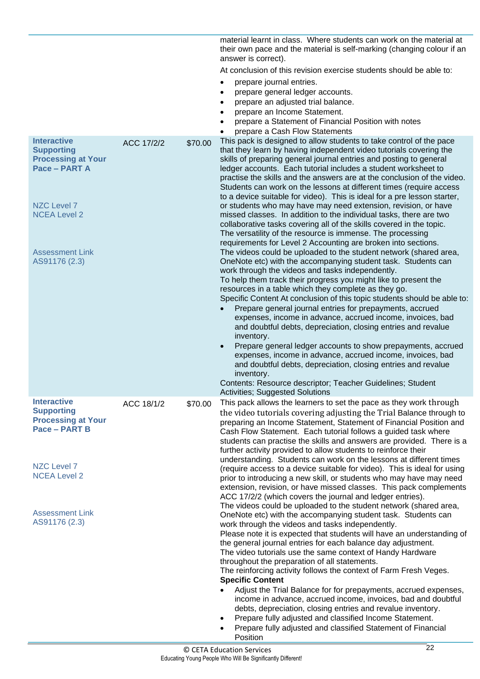|                                                                        |            |         | material learnt in class. Where students can work on the material at<br>their own pace and the material is self-marking (changing colour if an<br>answer is correct).                                                                                                                                                                                                                                                        |
|------------------------------------------------------------------------|------------|---------|------------------------------------------------------------------------------------------------------------------------------------------------------------------------------------------------------------------------------------------------------------------------------------------------------------------------------------------------------------------------------------------------------------------------------|
|                                                                        |            |         | At conclusion of this revision exercise students should be able to:                                                                                                                                                                                                                                                                                                                                                          |
|                                                                        |            |         | prepare journal entries.                                                                                                                                                                                                                                                                                                                                                                                                     |
|                                                                        |            |         | prepare general ledger accounts.<br>$\bullet$                                                                                                                                                                                                                                                                                                                                                                                |
|                                                                        |            |         | prepare an adjusted trial balance.<br>$\bullet$                                                                                                                                                                                                                                                                                                                                                                              |
|                                                                        |            |         | prepare an Income Statement.<br>$\bullet$                                                                                                                                                                                                                                                                                                                                                                                    |
|                                                                        |            |         | prepare a Statement of Financial Position with notes                                                                                                                                                                                                                                                                                                                                                                         |
| <b>Interactive</b>                                                     | ACC 17/2/2 |         | prepare a Cash Flow Statements<br>This pack is designed to allow students to take control of the pace                                                                                                                                                                                                                                                                                                                        |
| <b>Supporting</b><br><b>Processing at Your</b><br>Pace - PART A        |            | \$70.00 | that they learn by having independent video tutorials covering the<br>skills of preparing general journal entries and posting to general<br>ledger accounts. Each tutorial includes a student worksheet to<br>practise the skills and the answers are at the conclusion of the video.<br>Students can work on the lessons at different times (require access                                                                 |
|                                                                        |            |         | to a device suitable for video). This is ideal for a pre lesson starter,                                                                                                                                                                                                                                                                                                                                                     |
| <b>NZC Level 7</b>                                                     |            |         | or students who may have may need extension, revision, or have                                                                                                                                                                                                                                                                                                                                                               |
| <b>NCEA Level 2</b>                                                    |            |         | missed classes. In addition to the individual tasks, there are two<br>collaborative tasks covering all of the skills covered in the topic.                                                                                                                                                                                                                                                                                   |
|                                                                        |            |         | The versatility of the resource is immense. The processing                                                                                                                                                                                                                                                                                                                                                                   |
| <b>Assessment Link</b>                                                 |            |         | requirements for Level 2 Accounting are broken into sections.<br>The videos could be uploaded to the student network (shared area,                                                                                                                                                                                                                                                                                           |
| AS91176 (2.3)                                                          |            |         | OneNote etc) with the accompanying student task. Students can<br>work through the videos and tasks independently.                                                                                                                                                                                                                                                                                                            |
|                                                                        |            |         | To help them track their progress you might like to present the                                                                                                                                                                                                                                                                                                                                                              |
|                                                                        |            |         | resources in a table which they complete as they go.                                                                                                                                                                                                                                                                                                                                                                         |
|                                                                        |            |         | Specific Content At conclusion of this topic students should be able to:                                                                                                                                                                                                                                                                                                                                                     |
|                                                                        |            |         | Prepare general journal entries for prepayments, accrued<br>expenses, income in advance, accrued income, invoices, bad<br>and doubtful debts, depreciation, closing entries and revalue<br>inventory.                                                                                                                                                                                                                        |
|                                                                        |            |         | Prepare general ledger accounts to show prepayments, accrued<br>expenses, income in advance, accrued income, invoices, bad<br>and doubtful debts, depreciation, closing entries and revalue<br>inventory.                                                                                                                                                                                                                    |
|                                                                        |            |         | Contents: Resource descriptor; Teacher Guidelines; Student                                                                                                                                                                                                                                                                                                                                                                   |
| <b>Interactive</b>                                                     |            |         | <b>Activities; Suggested Solutions</b>                                                                                                                                                                                                                                                                                                                                                                                       |
| <b>Supporting</b><br><b>Processing at Your</b><br><b>Pace - PART B</b> | ACC 18/1/2 | \$70.00 | This pack allows the learners to set the pace as they work through<br>the video tutorials covering adjusting the Trial Balance through to<br>preparing an Income Statement, Statement of Financial Position and<br>Cash Flow Statement. Each tutorial follows a guided task where<br>students can practise the skills and answers are provided. There is a<br>further activity provided to allow students to reinforce their |
| <b>NZC Level 7</b><br><b>NCEA Level 2</b>                              |            |         | understanding. Students can work on the lessons at different times<br>(require access to a device suitable for video). This is ideal for using<br>prior to introducing a new skill, or students who may have may need<br>extension, revision, or have missed classes. This pack complements                                                                                                                                  |
| <b>Assessment Link</b>                                                 |            |         | ACC 17/2/2 (which covers the journal and ledger entries).<br>The videos could be uploaded to the student network (shared area,<br>OneNote etc) with the accompanying student task. Students can                                                                                                                                                                                                                              |
| AS91176 (2.3)                                                          |            |         | work through the videos and tasks independently.                                                                                                                                                                                                                                                                                                                                                                             |
|                                                                        |            |         | Please note it is expected that students will have an understanding of<br>the general journal entries for each balance day adjustment.<br>The video tutorials use the same context of Handy Hardware                                                                                                                                                                                                                         |
|                                                                        |            |         | throughout the preparation of all statements.                                                                                                                                                                                                                                                                                                                                                                                |
|                                                                        |            |         | The reinforcing activity follows the context of Farm Fresh Veges.<br><b>Specific Content</b>                                                                                                                                                                                                                                                                                                                                 |
|                                                                        |            |         | Adjust the Trial Balance for for prepayments, accrued expenses,                                                                                                                                                                                                                                                                                                                                                              |
|                                                                        |            |         | income in advance, accrued income, invoices, bad and doubtful<br>debts, depreciation, closing entries and revalue inventory.                                                                                                                                                                                                                                                                                                 |
|                                                                        |            |         | Prepare fully adjusted and classified Income Statement.<br>Prepare fully adjusted and classified Statement of Financial<br>Position                                                                                                                                                                                                                                                                                          |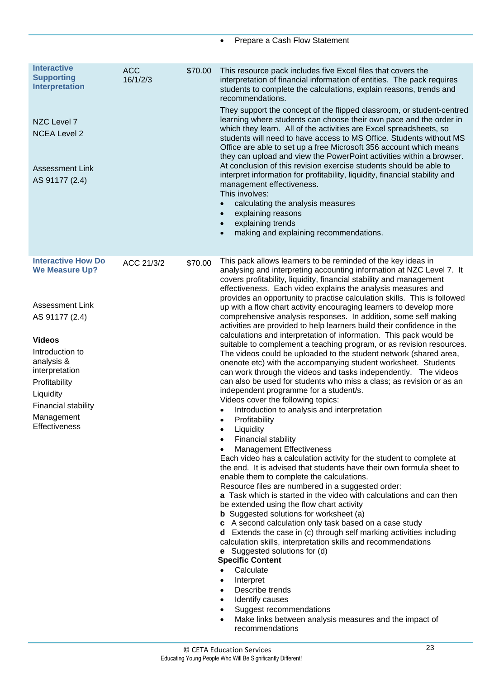| <b>Interactive</b><br><b>Supporting</b><br><b>Interpretation</b><br>NZC Level 7<br><b>NCEA Level 2</b><br><b>Assessment Link</b><br>AS 91177 (2.4)                                                                                                            | <b>ACC</b><br>16/1/2/3 | \$70.00 | This resource pack includes five Excel files that covers the<br>interpretation of financial information of entities. The pack requires<br>students to complete the calculations, explain reasons, trends and<br>recommendations.<br>They support the concept of the flipped classroom, or student-centred<br>learning where students can choose their own pace and the order in<br>which they learn. All of the activities are Excel spreadsheets, so<br>students will need to have access to MS Office. Students without MS<br>Office are able to set up a free Microsoft 356 account which means<br>they can upload and view the PowerPoint activities within a browser.<br>At conclusion of this revision exercise students should be able to<br>interpret information for profitability, liquidity, financial stability and<br>management effectiveness.<br>This involves:<br>calculating the analysis measures<br>$\bullet$<br>explaining reasons<br>$\bullet$<br>explaining trends<br>$\bullet$<br>making and explaining recommendations.<br>$\bullet$                                                                                                                                                                                                                                                                                                                                                                                                                                                                                                                                                                                                                                                                                                                                                                                                                                                                                                                                                                                                                                                                                                                                                  |
|---------------------------------------------------------------------------------------------------------------------------------------------------------------------------------------------------------------------------------------------------------------|------------------------|---------|---------------------------------------------------------------------------------------------------------------------------------------------------------------------------------------------------------------------------------------------------------------------------------------------------------------------------------------------------------------------------------------------------------------------------------------------------------------------------------------------------------------------------------------------------------------------------------------------------------------------------------------------------------------------------------------------------------------------------------------------------------------------------------------------------------------------------------------------------------------------------------------------------------------------------------------------------------------------------------------------------------------------------------------------------------------------------------------------------------------------------------------------------------------------------------------------------------------------------------------------------------------------------------------------------------------------------------------------------------------------------------------------------------------------------------------------------------------------------------------------------------------------------------------------------------------------------------------------------------------------------------------------------------------------------------------------------------------------------------------------------------------------------------------------------------------------------------------------------------------------------------------------------------------------------------------------------------------------------------------------------------------------------------------------------------------------------------------------------------------------------------------------------------------------------------------------------------------|
| <b>Interactive How Do</b><br><b>We Measure Up?</b><br><b>Assessment Link</b><br>AS 91177 (2.4)<br><b>Videos</b><br>Introduction to<br>analysis &<br>interpretation<br>Profitability<br>Liquidity<br>Financial stability<br>Management<br><b>Effectiveness</b> | ACC 21/3/2             | \$70.00 | This pack allows learners to be reminded of the key ideas in<br>analysing and interpreting accounting information at NZC Level 7. It<br>covers profitability, liquidity, financial stability and management<br>effectiveness. Each video explains the analysis measures and<br>provides an opportunity to practise calculation skills. This is followed<br>up with a flow chart activity encouraging learners to develop more<br>comprehensive analysis responses. In addition, some self making<br>activities are provided to help learners build their confidence in the<br>calculations and interpretation of information. This pack would be<br>suitable to complement a teaching program, or as revision resources.<br>The videos could be uploaded to the student network (shared area,<br>onenote etc) with the accompanying student worksheet. Students<br>can work through the videos and tasks independently. The videos<br>can also be used for students who miss a class; as revision or as an<br>independent programme for a student/s.<br>Videos cover the following topics:<br>Introduction to analysis and interpretation<br>Profitability<br>$\bullet$<br>Liquidity<br>Financial stability<br>٠<br><b>Management Effectiveness</b><br>Each video has a calculation activity for the student to complete at<br>the end. It is advised that students have their own formula sheet to<br>enable them to complete the calculations.<br>Resource files are numbered in a suggested order:<br>a Task which is started in the video with calculations and can then<br>be extended using the flow chart activity<br><b>b</b> Suggested solutions for worksheet (a)<br>c A second calculation only task based on a case study<br><b>d</b> Extends the case in (c) through self marking activities including<br>calculation skills, interpretation skills and recommendations<br><b>e</b> Suggested solutions for (d)<br><b>Specific Content</b><br>Calculate<br>$\bullet$<br>Interpret<br>$\bullet$<br>Describe trends<br>$\bullet$<br>Identify causes<br>$\bullet$<br>Suggest recommendations<br>$\bullet$<br>Make links between analysis measures and the impact of<br>$\bullet$<br>recommendations |

• Prepare a Cash Flow Statement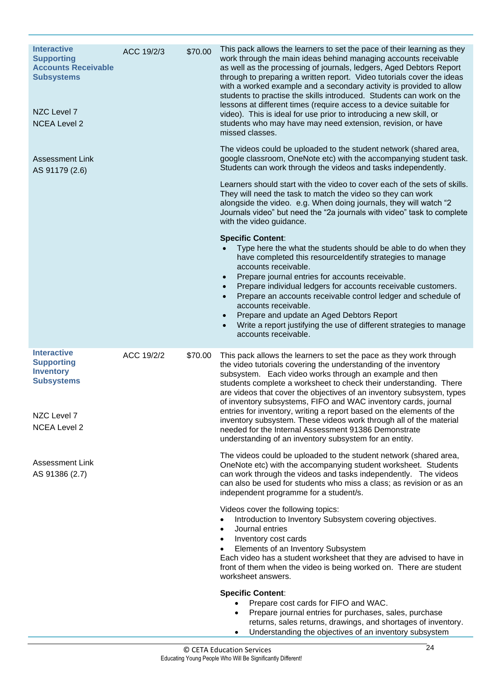| <b>Interactive</b><br><b>Supporting</b><br><b>Accounts Receivable</b><br><b>Subsystems</b><br>NZC Level 7<br><b>NCEA Level 2</b> | ACC 19/2/3 | \$70.00 | This pack allows the learners to set the pace of their learning as they<br>work through the main ideas behind managing accounts receivable<br>as well as the processing of journals, ledgers, Aged Debtors Report<br>through to preparing a written report. Video tutorials cover the ideas<br>with a worked example and a secondary activity is provided to allow<br>students to practise the skills introduced. Students can work on the<br>lessons at different times (require access to a device suitable for<br>video). This is ideal for use prior to introducing a new skill, or<br>students who may have may need extension, revision, or have<br>missed classes.        |
|----------------------------------------------------------------------------------------------------------------------------------|------------|---------|----------------------------------------------------------------------------------------------------------------------------------------------------------------------------------------------------------------------------------------------------------------------------------------------------------------------------------------------------------------------------------------------------------------------------------------------------------------------------------------------------------------------------------------------------------------------------------------------------------------------------------------------------------------------------------|
| <b>Assessment Link</b><br>AS 91179 (2.6)                                                                                         |            |         | The videos could be uploaded to the student network (shared area,<br>google classroom, OneNote etc) with the accompanying student task.<br>Students can work through the videos and tasks independently.                                                                                                                                                                                                                                                                                                                                                                                                                                                                         |
|                                                                                                                                  |            |         | Learners should start with the video to cover each of the sets of skills.<br>They will need the task to match the video so they can work<br>alongside the video. e.g. When doing journals, they will watch "2<br>Journals video" but need the "2a journals with video" task to complete<br>with the video guidance.                                                                                                                                                                                                                                                                                                                                                              |
|                                                                                                                                  |            |         | <b>Specific Content:</b><br>Type here the what the students should be able to do when they<br>have completed this resourceldentify strategies to manage<br>accounts receivable.<br>Prepare journal entries for accounts receivable.<br>Prepare individual ledgers for accounts receivable customers.<br>Prepare an accounts receivable control ledger and schedule of<br>accounts receivable.<br>Prepare and update an Aged Debtors Report<br>Write a report justifying the use of different strategies to manage<br>accounts receivable.                                                                                                                                        |
| <b>Interactive</b><br><b>Supporting</b><br><b>Inventory</b><br><b>Subsystems</b><br>NZC Level 7<br><b>NCEA Level 2</b>           | ACC 19/2/2 | \$70.00 | This pack allows the learners to set the pace as they work through<br>the video tutorials covering the understanding of the inventory<br>subsystem. Each video works through an example and then<br>students complete a worksheet to check their understanding. There<br>are videos that cover the objectives of an inventory subsystem, types<br>of inventory subsystems, FIFO and WAC inventory cards, journal<br>entries for inventory, writing a report based on the elements of the<br>inventory subsystem. These videos work through all of the material<br>needed for the Internal Assessment 91386 Demonstrate<br>understanding of an inventory subsystem for an entity. |
| <b>Assessment Link</b><br>AS 91386 (2.7)                                                                                         |            |         | The videos could be uploaded to the student network (shared area,<br>OneNote etc) with the accompanying student worksheet. Students<br>can work through the videos and tasks independently. The videos<br>can also be used for students who miss a class; as revision or as an<br>independent programme for a student/s.                                                                                                                                                                                                                                                                                                                                                         |
|                                                                                                                                  |            |         | Videos cover the following topics:<br>Introduction to Inventory Subsystem covering objectives.<br>Journal entries<br>Inventory cost cards<br>$\bullet$<br>Elements of an Inventory Subsystem<br>Each video has a student worksheet that they are advised to have in<br>front of them when the video is being worked on. There are student<br>worksheet answers.                                                                                                                                                                                                                                                                                                                  |
|                                                                                                                                  |            |         | <b>Specific Content:</b><br>Prepare cost cards for FIFO and WAC.<br>Prepare journal entries for purchases, sales, purchase<br>$\bullet$<br>returns, sales returns, drawings, and shortages of inventory.<br>Understanding the objectives of an inventory subsystem<br>$\bullet$                                                                                                                                                                                                                                                                                                                                                                                                  |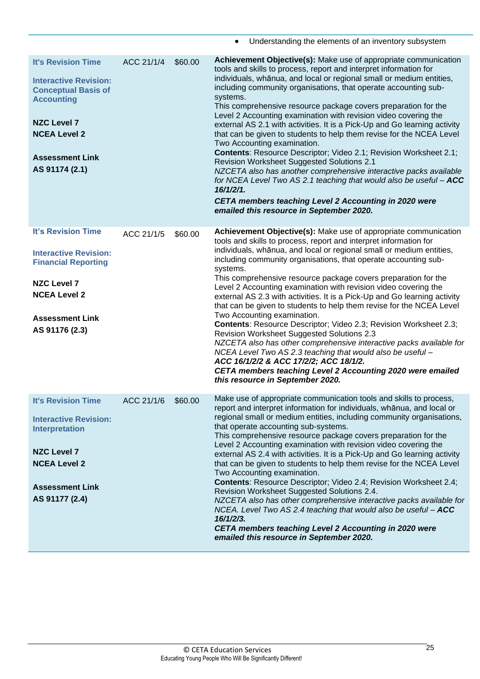<span id="page-28-0"></span>

|                                                                                                                                                                                                       |            |         | Understanding the elements of an inventory subsystem                                                                                                                                                                                                                                                                                                                                                                                                                                                                                                                                                                                                                                                                                                                                                                                                                                                                                                                                                                                   |
|-------------------------------------------------------------------------------------------------------------------------------------------------------------------------------------------------------|------------|---------|----------------------------------------------------------------------------------------------------------------------------------------------------------------------------------------------------------------------------------------------------------------------------------------------------------------------------------------------------------------------------------------------------------------------------------------------------------------------------------------------------------------------------------------------------------------------------------------------------------------------------------------------------------------------------------------------------------------------------------------------------------------------------------------------------------------------------------------------------------------------------------------------------------------------------------------------------------------------------------------------------------------------------------------|
| <b>It's Revision Time</b><br><b>Interactive Revision:</b><br><b>Conceptual Basis of</b><br><b>Accounting</b><br><b>NZC Level 7</b><br><b>NCEA Level 2</b><br><b>Assessment Link</b><br>AS 91174 (2.1) | ACC 21/1/4 | \$60.00 | Achievement Objective(s): Make use of appropriate communication<br>tools and skills to process, report and interpret information for<br>individuals, whānua, and local or regional small or medium entities,<br>including community organisations, that operate accounting sub-<br>systems.<br>This comprehensive resource package covers preparation for the<br>Level 2 Accounting examination with revision video covering the<br>external AS 2.1 with activities. It is a Pick-Up and Go learning activity<br>that can be given to students to help them revise for the NCEA Level<br>Two Accounting examination.<br>Contents: Resource Descriptor; Video 2.1; Revision Worksheet 2.1;<br><b>Revision Worksheet Suggested Solutions 2.1</b><br>NZCETA also has another comprehensive interactive packs available<br>for NCEA Level Two AS 2.1 teaching that would also be useful - ACC<br>16/1/2/1.<br>CETA members teaching Level 2 Accounting in 2020 were<br>emailed this resource in September 2020.                            |
| <b>It's Revision Time</b><br><b>Interactive Revision:</b><br><b>Financial Reporting</b><br><b>NZC Level 7</b><br><b>NCEA Level 2</b><br><b>Assessment Link</b><br>AS 91176 (2.3)                      | ACC 21/1/5 | \$60.00 | Achievement Objective(s): Make use of appropriate communication<br>tools and skills to process, report and interpret information for<br>individuals, whānua, and local or regional small or medium entities,<br>including community organisations, that operate accounting sub-<br>systems.<br>This comprehensive resource package covers preparation for the<br>Level 2 Accounting examination with revision video covering the<br>external AS 2.3 with activities. It is a Pick-Up and Go learning activity<br>that can be given to students to help them revise for the NCEA Level<br>Two Accounting examination.<br><b>Contents: Resource Descriptor; Video 2.3; Revision Worksheet 2.3;</b><br><b>Revision Worksheet Suggested Solutions 2.3</b><br>NZCETA also has other comprehensive interactive packs available for<br>NCEA Level Two AS 2.3 teaching that would also be useful -<br>ACC 16/1/2/2 & ACC 17/2/2; ACC 18/1/2.<br>CETA members teaching Level 2 Accounting 2020 were emailed<br>this resource in September 2020. |
| <b>It's Revision Time</b><br><b>Interactive Revision:</b><br><b>Interpretation</b><br><b>NZC Level 7</b><br><b>NCEA Level 2</b><br><b>Assessment Link</b><br>AS 91177 (2.4)                           | ACC 21/1/6 | \$60.00 | Make use of appropriate communication tools and skills to process,<br>report and interpret information for individuals, whānua, and local or<br>regional small or medium entities, including community organisations,<br>that operate accounting sub-systems.<br>This comprehensive resource package covers preparation for the<br>Level 2 Accounting examination with revision video covering the<br>external AS 2.4 with activities. It is a Pick-Up and Go learning activity<br>that can be given to students to help them revise for the NCEA Level<br>Two Accounting examination.<br>Contents: Resource Descriptor; Video 2.4; Revision Worksheet 2.4;<br>Revision Worksheet Suggested Solutions 2.4.<br>NZCETA also has other comprehensive interactive packs available for<br>NCEA. Level Two AS 2.4 teaching that would also be useful - ACC<br>16/1/2/3.<br>CETA members teaching Level 2 Accounting in 2020 were<br>emailed this resource in September 2020.                                                                 |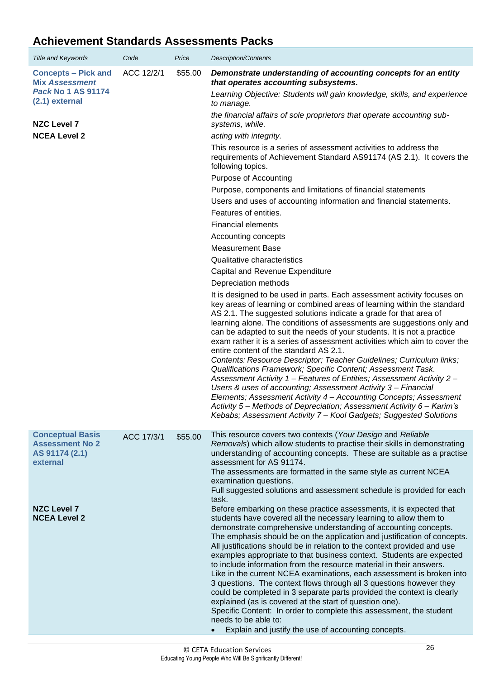### **Achievement Standards Assessments Packs**

<span id="page-29-1"></span><span id="page-29-0"></span>

| <b>Title and Keywords</b>                                                                          | Code       | Price   | <b>Description/Contents</b>                                                                                                                                                                                                                                                                                                                                                                                                                                                                                                                                                                                                                                                                                                                                                                                                                                                                                                                                                                             |
|----------------------------------------------------------------------------------------------------|------------|---------|---------------------------------------------------------------------------------------------------------------------------------------------------------------------------------------------------------------------------------------------------------------------------------------------------------------------------------------------------------------------------------------------------------------------------------------------------------------------------------------------------------------------------------------------------------------------------------------------------------------------------------------------------------------------------------------------------------------------------------------------------------------------------------------------------------------------------------------------------------------------------------------------------------------------------------------------------------------------------------------------------------|
| <b>Concepts - Pick and</b><br><b>Mix Assessment</b><br><b>Pack No 1 AS 91174</b><br>(2.1) external | ACC 12/2/1 | \$55.00 | Demonstrate understanding of accounting concepts for an entity<br>that operates accounting subsystems.<br>Learning Objective: Students will gain knowledge, skills, and experience<br>to manage.                                                                                                                                                                                                                                                                                                                                                                                                                                                                                                                                                                                                                                                                                                                                                                                                        |
| <b>NZC Level 7</b>                                                                                 |            |         | the financial affairs of sole proprietors that operate accounting sub-<br>systems, while.                                                                                                                                                                                                                                                                                                                                                                                                                                                                                                                                                                                                                                                                                                                                                                                                                                                                                                               |
| <b>NCEA Level 2</b>                                                                                |            |         | acting with integrity.                                                                                                                                                                                                                                                                                                                                                                                                                                                                                                                                                                                                                                                                                                                                                                                                                                                                                                                                                                                  |
|                                                                                                    |            |         | This resource is a series of assessment activities to address the<br>requirements of Achievement Standard AS91174 (AS 2.1). It covers the<br>following topics.                                                                                                                                                                                                                                                                                                                                                                                                                                                                                                                                                                                                                                                                                                                                                                                                                                          |
|                                                                                                    |            |         | Purpose of Accounting                                                                                                                                                                                                                                                                                                                                                                                                                                                                                                                                                                                                                                                                                                                                                                                                                                                                                                                                                                                   |
|                                                                                                    |            |         | Purpose, components and limitations of financial statements                                                                                                                                                                                                                                                                                                                                                                                                                                                                                                                                                                                                                                                                                                                                                                                                                                                                                                                                             |
|                                                                                                    |            |         | Users and uses of accounting information and financial statements.                                                                                                                                                                                                                                                                                                                                                                                                                                                                                                                                                                                                                                                                                                                                                                                                                                                                                                                                      |
|                                                                                                    |            |         | Features of entities.                                                                                                                                                                                                                                                                                                                                                                                                                                                                                                                                                                                                                                                                                                                                                                                                                                                                                                                                                                                   |
|                                                                                                    |            |         | <b>Financial elements</b>                                                                                                                                                                                                                                                                                                                                                                                                                                                                                                                                                                                                                                                                                                                                                                                                                                                                                                                                                                               |
|                                                                                                    |            |         | Accounting concepts                                                                                                                                                                                                                                                                                                                                                                                                                                                                                                                                                                                                                                                                                                                                                                                                                                                                                                                                                                                     |
|                                                                                                    |            |         | <b>Measurement Base</b>                                                                                                                                                                                                                                                                                                                                                                                                                                                                                                                                                                                                                                                                                                                                                                                                                                                                                                                                                                                 |
|                                                                                                    |            |         | Qualitative characteristics                                                                                                                                                                                                                                                                                                                                                                                                                                                                                                                                                                                                                                                                                                                                                                                                                                                                                                                                                                             |
|                                                                                                    |            |         | Capital and Revenue Expenditure                                                                                                                                                                                                                                                                                                                                                                                                                                                                                                                                                                                                                                                                                                                                                                                                                                                                                                                                                                         |
|                                                                                                    |            |         | Depreciation methods                                                                                                                                                                                                                                                                                                                                                                                                                                                                                                                                                                                                                                                                                                                                                                                                                                                                                                                                                                                    |
|                                                                                                    |            |         | It is designed to be used in parts. Each assessment activity focuses on<br>key areas of learning or combined areas of learning within the standard<br>AS 2.1. The suggested solutions indicate a grade for that area of<br>learning alone. The conditions of assessments are suggestions only and<br>can be adapted to suit the needs of your students. It is not a practice<br>exam rather it is a series of assessment activities which aim to cover the<br>entire content of the standard AS 2.1.<br>Contents: Resource Descriptor; Teacher Guidelines; Curriculum links;<br>Qualifications Framework; Specific Content; Assessment Task.<br>Assessment Activity 1 - Features of Entities; Assessment Activity 2 -<br>Users & uses of accounting; Assessment Activity 3 - Financial<br>Elements; Assessment Activity 4 - Accounting Concepts; Assessment<br>Activity 5- Methods of Depreciation; Assessment Activity 6- Karim's<br>Kebabs; Assessment Activity 7 - Kool Gadgets; Suggested Solutions |
| <b>Conceptual Basis</b><br><b>Assessment No 2</b><br>AS 91174 (2.1)<br>external                    | ACC 17/3/1 | \$55.00 | This resource covers two contexts (Your Design and Reliable<br>Removals) which allow students to practise their skills in demonstrating<br>understanding of accounting concepts. These are suitable as a practise<br>assessment for AS 91174.<br>The assessments are formatted in the same style as current NCEA<br>examination questions.<br>Full suggested solutions and assessment schedule is provided for each<br>task.                                                                                                                                                                                                                                                                                                                                                                                                                                                                                                                                                                            |
| <b>NZC Level 7</b><br><b>NCEA Level 2</b>                                                          |            |         | Before embarking on these practice assessments, it is expected that<br>students have covered all the necessary learning to allow them to<br>demonstrate comprehensive understanding of accounting concepts.<br>The emphasis should be on the application and justification of concepts.<br>All justifications should be in relation to the context provided and use<br>examples appropriate to that business context. Students are expected<br>to include information from the resource material in their answers.<br>Like in the current NCEA examinations, each assessment is broken into<br>3 questions. The context flows through all 3 questions however they<br>could be completed in 3 separate parts provided the context is clearly<br>explained (as is covered at the start of question one).<br>Specific Content: In order to complete this assessment, the student<br>needs to be able to:<br>Explain and justify the use of accounting concepts.                                           |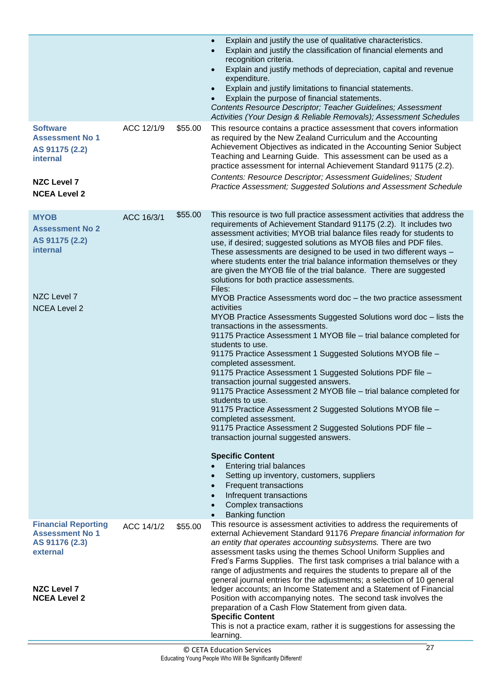<span id="page-30-2"></span><span id="page-30-1"></span><span id="page-30-0"></span>

|                                                                                                                                 |            |         | Explain and justify the use of qualitative characteristics.<br>$\bullet$<br>Explain and justify the classification of financial elements and<br>$\bullet$<br>recognition criteria.<br>Explain and justify methods of depreciation, capital and revenue<br>$\bullet$<br>expenditure.<br>Explain and justify limitations to financial statements.<br>$\bullet$<br>Explain the purpose of financial statements.<br>Contents Resource Descriptor; Teacher Guidelines; Assessment<br>Activities (Your Design & Reliable Removals); Assessment Schedules                                                                                                                                                                                                                                                                                                                                                                                                                                                                                                                                                                                                                                                                                                                                                                                                                                                                                                                                                                                                                                                                                                |
|---------------------------------------------------------------------------------------------------------------------------------|------------|---------|---------------------------------------------------------------------------------------------------------------------------------------------------------------------------------------------------------------------------------------------------------------------------------------------------------------------------------------------------------------------------------------------------------------------------------------------------------------------------------------------------------------------------------------------------------------------------------------------------------------------------------------------------------------------------------------------------------------------------------------------------------------------------------------------------------------------------------------------------------------------------------------------------------------------------------------------------------------------------------------------------------------------------------------------------------------------------------------------------------------------------------------------------------------------------------------------------------------------------------------------------------------------------------------------------------------------------------------------------------------------------------------------------------------------------------------------------------------------------------------------------------------------------------------------------------------------------------------------------------------------------------------------------|
| <b>Software</b><br><b>Assessment No 1</b><br>AS 91175 (2.2)<br><b>internal</b><br><b>NZC Level 7</b><br><b>NCEA Level 2</b>     | ACC 12/1/9 | \$55.00 | This resource contains a practice assessment that covers information<br>as required by the New Zealand Curriculum and the Accounting<br>Achievement Objectives as indicated in the Accounting Senior Subject<br>Teaching and Learning Guide. This assessment can be used as a<br>practice assessment for internal Achievement Standard 91175 (2.2).<br>Contents: Resource Descriptor; Assessment Guidelines; Student<br>Practice Assessment; Suggested Solutions and Assessment Schedule                                                                                                                                                                                                                                                                                                                                                                                                                                                                                                                                                                                                                                                                                                                                                                                                                                                                                                                                                                                                                                                                                                                                                          |
| <b>MYOB</b><br><b>Assessment No 2</b><br>AS 91175 (2.2)<br>internal<br>NZC Level 7<br><b>NCEA Level 2</b>                       | ACC 16/3/1 | \$55.00 | This resource is two full practice assessment activities that address the<br>requirements of Achievement Standard 91175 (2.2). It includes two<br>assessment activities; MYOB trial balance files ready for students to<br>use, if desired; suggested solutions as MYOB files and PDF files.<br>These assessments are designed to be used in two different ways -<br>where students enter the trial balance information themselves or they<br>are given the MYOB file of the trial balance. There are suggested<br>solutions for both practice assessments.<br>Files:<br>MYOB Practice Assessments word doc - the two practice assessment<br>activities<br>MYOB Practice Assessments Suggested Solutions word doc - lists the<br>transactions in the assessments.<br>91175 Practice Assessment 1 MYOB file - trial balance completed for<br>students to use.<br>91175 Practice Assessment 1 Suggested Solutions MYOB file -<br>completed assessment.<br>91175 Practice Assessment 1 Suggested Solutions PDF file -<br>transaction journal suggested answers.<br>91175 Practice Assessment 2 MYOB file - trial balance completed for<br>students to use.<br>91175 Practice Assessment 2 Suggested Solutions MYOB file -<br>completed assessment.<br>91175 Practice Assessment 2 Suggested Solutions PDF file -<br>transaction journal suggested answers.<br><b>Specific Content</b><br><b>Entering trial balances</b><br>Setting up inventory, customers, suppliers<br>$\bullet$<br><b>Frequent transactions</b><br>$\bullet$<br>Infrequent transactions<br>$\bullet$<br>Complex transactions<br>$\bullet$<br><b>Banking function</b><br>$\bullet$ |
| <b>Financial Reporting</b><br><b>Assessment No 1</b><br>AS 91176 (2.3)<br>external<br><b>NZC Level 7</b><br><b>NCEA Level 2</b> | ACC 14/1/2 | \$55.00 | This resource is assessment activities to address the requirements of<br>external Achievement Standard 91176 Prepare financial information for<br>an entity that operates accounting subsystems. There are two<br>assessment tasks using the themes School Uniform Supplies and<br>Fred's Farms Supplies. The first task comprises a trial balance with a<br>range of adjustments and requires the students to prepare all of the<br>general journal entries for the adjustments; a selection of 10 general<br>ledger accounts; an Income Statement and a Statement of Financial<br>Position with accompanying notes. The second task involves the<br>preparation of a Cash Flow Statement from given data.<br><b>Specific Content</b><br>This is not a practice exam, rather it is suggestions for assessing the<br>learning.                                                                                                                                                                                                                                                                                                                                                                                                                                                                                                                                                                                                                                                                                                                                                                                                                    |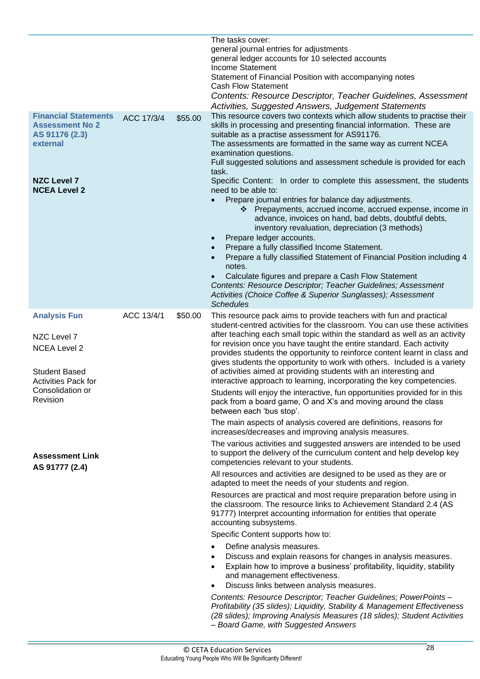<span id="page-31-1"></span><span id="page-31-0"></span>

|                                                                                                                                  |            |         | The tasks cover:<br>general journal entries for adjustments<br>general ledger accounts for 10 selected accounts<br>Income Statement<br>Statement of Financial Position with accompanying notes<br><b>Cash Flow Statement</b><br>Contents: Resource Descriptor, Teacher Guidelines, Assessment<br>Activities, Suggested Answers, Judgement Statements                                                                                                                                                                                                                                                                                                                                                                                                                                                                                                                                                                                                                                                                                                                    |
|----------------------------------------------------------------------------------------------------------------------------------|------------|---------|-------------------------------------------------------------------------------------------------------------------------------------------------------------------------------------------------------------------------------------------------------------------------------------------------------------------------------------------------------------------------------------------------------------------------------------------------------------------------------------------------------------------------------------------------------------------------------------------------------------------------------------------------------------------------------------------------------------------------------------------------------------------------------------------------------------------------------------------------------------------------------------------------------------------------------------------------------------------------------------------------------------------------------------------------------------------------|
| <b>Financial Statements</b><br><b>Assessment No 2</b><br>AS 91176 (2.3)<br>external<br><b>NZC Level 7</b><br><b>NCEA Level 2</b> | ACC 17/3/4 | \$55.00 | This resource covers two contexts which allow students to practise their<br>skills in processing and presenting financial information. These are<br>suitable as a practise assessment for AS91176.<br>The assessments are formatted in the same way as current NCEA<br>examination questions.<br>Full suggested solutions and assessment schedule is provided for each<br>task.<br>Specific Content: In order to complete this assessment, the students<br>need to be able to:<br>Prepare journal entries for balance day adjustments.<br>* Prepayments, accrued income, accrued expense, income in<br>advance, invoices on hand, bad debts, doubtful debts,<br>inventory revaluation, depreciation (3 methods)<br>Prepare ledger accounts.<br>Prepare a fully classified Income Statement.<br>Prepare a fully classified Statement of Financial Position including 4<br>notes.<br>Calculate figures and prepare a Cash Flow Statement<br>Contents: Resource Descriptor; Teacher Guidelines; Assessment<br>Activities (Choice Coffee & Superior Sunglasses); Assessment |
| <b>Analysis Fun</b>                                                                                                              | ACC 13/4/1 | \$50.00 | <b>Schedules</b><br>This resource pack aims to provide teachers with fun and practical<br>student-centred activities for the classroom. You can use these activities                                                                                                                                                                                                                                                                                                                                                                                                                                                                                                                                                                                                                                                                                                                                                                                                                                                                                                    |
| NZC Level 7<br><b>NCEA Level 2</b><br><b>Student Based</b><br><b>Activities Pack for</b>                                         |            |         | after teaching each small topic within the standard as well as an activity<br>for revision once you have taught the entire standard. Each activity<br>provides students the opportunity to reinforce content learnt in class and<br>gives students the opportunity to work with others. Included is a variety<br>of activities aimed at providing students with an interesting and<br>interactive approach to learning, incorporating the key competencies.                                                                                                                                                                                                                                                                                                                                                                                                                                                                                                                                                                                                             |
| Consolidation or<br>Revision                                                                                                     |            |         | Students will enjoy the interactive, fun opportunities provided for in this<br>pack from a board game, O and X's and moving around the class<br>between each 'bus stop'.                                                                                                                                                                                                                                                                                                                                                                                                                                                                                                                                                                                                                                                                                                                                                                                                                                                                                                |
|                                                                                                                                  |            |         | The main aspects of analysis covered are definitions, reasons for<br>increases/decreases and improving analysis measures.                                                                                                                                                                                                                                                                                                                                                                                                                                                                                                                                                                                                                                                                                                                                                                                                                                                                                                                                               |
| <b>Assessment Link</b><br>AS 91777 (2.4)                                                                                         |            |         | The various activities and suggested answers are intended to be used<br>to support the delivery of the curriculum content and help develop key<br>competencies relevant to your students.                                                                                                                                                                                                                                                                                                                                                                                                                                                                                                                                                                                                                                                                                                                                                                                                                                                                               |
|                                                                                                                                  |            |         | All resources and activities are designed to be used as they are or<br>adapted to meet the needs of your students and region.                                                                                                                                                                                                                                                                                                                                                                                                                                                                                                                                                                                                                                                                                                                                                                                                                                                                                                                                           |
|                                                                                                                                  |            |         | Resources are practical and most require preparation before using in<br>the classroom. The resource links to Achievement Standard 2.4 (AS<br>91777) Interpret accounting information for entities that operate<br>accounting subsystems.                                                                                                                                                                                                                                                                                                                                                                                                                                                                                                                                                                                                                                                                                                                                                                                                                                |
|                                                                                                                                  |            |         | Specific Content supports how to:                                                                                                                                                                                                                                                                                                                                                                                                                                                                                                                                                                                                                                                                                                                                                                                                                                                                                                                                                                                                                                       |
|                                                                                                                                  |            |         | Define analysis measures.<br>Discuss and explain reasons for changes in analysis measures.<br>Explain how to improve a business' profitability, liquidity, stability<br>and management effectiveness.<br>Discuss links between analysis measures.                                                                                                                                                                                                                                                                                                                                                                                                                                                                                                                                                                                                                                                                                                                                                                                                                       |
|                                                                                                                                  |            |         | Contents: Resource Descriptor; Teacher Guidelines; PowerPoints -<br>Profitability (35 slides); Liquidity, Stability & Management Effectiveness<br>(28 slides); Improving Analysis Measures (18 slides); Student Activities<br>- Board Game, with Suggested Answers                                                                                                                                                                                                                                                                                                                                                                                                                                                                                                                                                                                                                                                                                                                                                                                                      |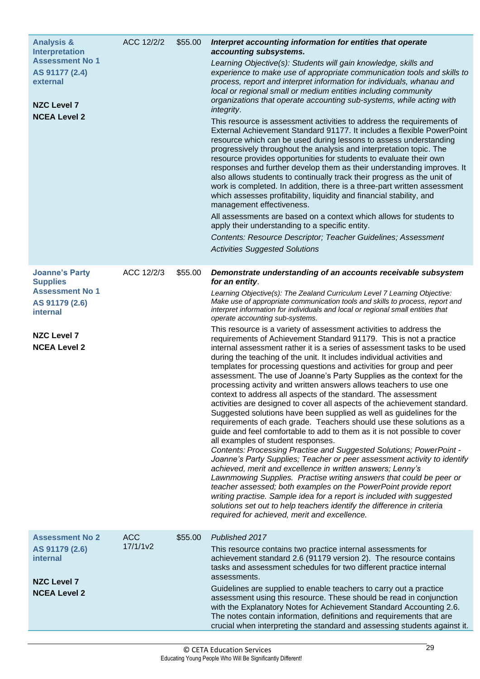<span id="page-32-2"></span><span id="page-32-1"></span><span id="page-32-0"></span>

| <b>Analysis &amp;</b><br><b>Interpretation</b><br><b>Assessment No 1</b><br>AS 91177 (2.4) | ACC 12/2/2                         | \$55.00 | Interpret accounting information for entities that operate<br>accounting subsystems.<br>Learning Objective(s): Students will gain knowledge, skills and<br>experience to make use of appropriate communication tools and skills to                                                                                                                                                                                                                                                                                                                                                                                                                                                                                                                                                                                                                                                                                                                                                                                                                                                                                                                                                                                                                                                                                                                                                                                                                                                                    |
|--------------------------------------------------------------------------------------------|------------------------------------|---------|-------------------------------------------------------------------------------------------------------------------------------------------------------------------------------------------------------------------------------------------------------------------------------------------------------------------------------------------------------------------------------------------------------------------------------------------------------------------------------------------------------------------------------------------------------------------------------------------------------------------------------------------------------------------------------------------------------------------------------------------------------------------------------------------------------------------------------------------------------------------------------------------------------------------------------------------------------------------------------------------------------------------------------------------------------------------------------------------------------------------------------------------------------------------------------------------------------------------------------------------------------------------------------------------------------------------------------------------------------------------------------------------------------------------------------------------------------------------------------------------------------|
| external<br><b>NZC Level 7</b>                                                             |                                    |         | process, report and interpret information for individuals, whanau and<br>local or regional small or medium entities including community<br>organizations that operate accounting sub-systems, while acting with<br>integrity.                                                                                                                                                                                                                                                                                                                                                                                                                                                                                                                                                                                                                                                                                                                                                                                                                                                                                                                                                                                                                                                                                                                                                                                                                                                                         |
| <b>NCEA Level 2</b>                                                                        |                                    |         | This resource is assessment activities to address the requirements of<br>External Achievement Standard 91177. It includes a flexible PowerPoint<br>resource which can be used during lessons to assess understanding<br>progressively throughout the analysis and interpretation topic. The<br>resource provides opportunities for students to evaluate their own<br>responses and further develop them as their understanding improves. It<br>also allows students to continually track their progress as the unit of<br>work is completed. In addition, there is a three-part written assessment<br>which assesses profitability, liquidity and financial stability, and<br>management effectiveness.<br>All assessments are based on a context which allows for students to                                                                                                                                                                                                                                                                                                                                                                                                                                                                                                                                                                                                                                                                                                                        |
|                                                                                            |                                    |         | apply their understanding to a specific entity.<br>Contents: Resource Descriptor; Teacher Guidelines; Assessment<br><b>Activities Suggested Solutions</b>                                                                                                                                                                                                                                                                                                                                                                                                                                                                                                                                                                                                                                                                                                                                                                                                                                                                                                                                                                                                                                                                                                                                                                                                                                                                                                                                             |
| <b>Joanne's Party</b><br><b>Supplies</b>                                                   | ACC 12/2/3                         | \$55.00 | Demonstrate understanding of an accounts receivable subsystem<br>for an entity.                                                                                                                                                                                                                                                                                                                                                                                                                                                                                                                                                                                                                                                                                                                                                                                                                                                                                                                                                                                                                                                                                                                                                                                                                                                                                                                                                                                                                       |
| <b>Assessment No 1</b><br>AS 91179 (2.6)<br><b>internal</b>                                |                                    |         | Learning Objective(s): The Zealand Curriculum Level 7 Learning Objective:<br>Make use of appropriate communication tools and skills to process, report and<br>interpret information for individuals and local or regional small entities that<br>operate accounting sub-systems.                                                                                                                                                                                                                                                                                                                                                                                                                                                                                                                                                                                                                                                                                                                                                                                                                                                                                                                                                                                                                                                                                                                                                                                                                      |
| <b>NZC Level 7</b><br><b>NCEA Level 2</b>                                                  |                                    |         | This resource is a variety of assessment activities to address the<br>requirements of Achievement Standard 91179. This is not a practice<br>internal assessment rather it is a series of assessment tasks to be used<br>during the teaching of the unit. It includes individual activities and<br>templates for processing questions and activities for group and peer<br>assessment. The use of Joanne's Party Supplies as the context for the<br>processing activity and written answers allows teachers to use one<br>context to address all aspects of the standard. The assessment<br>activities are designed to cover all aspects of the achievement standard.<br>Suggested solutions have been supplied as well as guidelines for the<br>requirements of each grade. Teachers should use these solutions as a<br>guide and feel comfortable to add to them as it is not possible to cover<br>all examples of student responses.<br>Contents: Processing Practise and Suggested Solutions; PowerPoint -<br>Joanne's Party Supplies; Teacher or peer assessment activity to identify<br>achieved, merit and excellence in written answers; Lenny's<br>Lawnmowing Supplies. Practise writing answers that could be peer or<br>teacher assessed; both examples on the PowerPoint provide report<br>writing practise. Sample idea for a report is included with suggested<br>solutions set out to help teachers identify the difference in criteria<br>required for achieved, merit and excellence. |
| <b>Assessment No 2</b><br>AS 91179 (2.6)                                                   | <b>ACC</b><br>17/1/1 <sub>v2</sub> | \$55.00 | Published 2017<br>This resource contains two practice internal assessments for                                                                                                                                                                                                                                                                                                                                                                                                                                                                                                                                                                                                                                                                                                                                                                                                                                                                                                                                                                                                                                                                                                                                                                                                                                                                                                                                                                                                                        |
| <b>internal</b><br><b>NZC Level 7</b>                                                      |                                    |         | achievement standard 2.6 (91179 version 2). The resource contains<br>tasks and assessment schedules for two different practice internal<br>assessments.                                                                                                                                                                                                                                                                                                                                                                                                                                                                                                                                                                                                                                                                                                                                                                                                                                                                                                                                                                                                                                                                                                                                                                                                                                                                                                                                               |
| <b>NCEA Level 2</b>                                                                        |                                    |         | Guidelines are supplied to enable teachers to carry out a practice<br>assessment using this resource. These should be read in conjunction<br>with the Explanatory Notes for Achievement Standard Accounting 2.6.<br>The notes contain information, definitions and requirements that are<br>crucial when interpreting the standard and assessing students against it.                                                                                                                                                                                                                                                                                                                                                                                                                                                                                                                                                                                                                                                                                                                                                                                                                                                                                                                                                                                                                                                                                                                                 |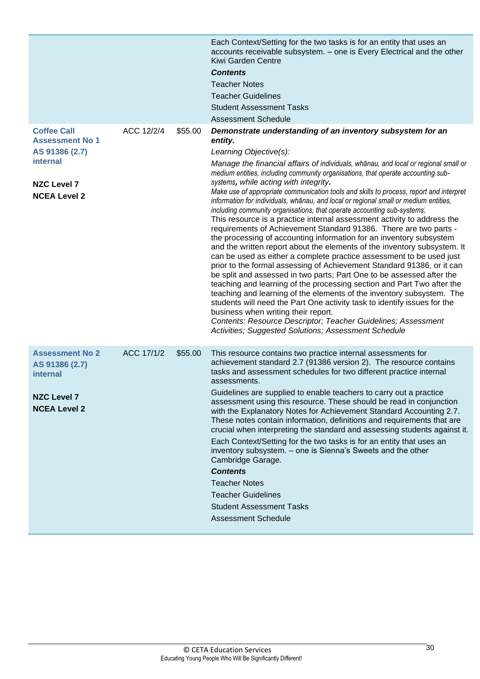<span id="page-33-1"></span><span id="page-33-0"></span>

|                                                      |            |         | Each Context/Setting for the two tasks is for an entity that uses an<br>accounts receivable subsystem. - one is Every Electrical and the other<br>Kiwi Garden Centre<br><b>Contents</b>                                                                                                                                                                                                                                                                                                                                                                                                                                                                                                                                                                                                                                                                                                                                                                                                                                                                                                                                                                                                 |
|------------------------------------------------------|------------|---------|-----------------------------------------------------------------------------------------------------------------------------------------------------------------------------------------------------------------------------------------------------------------------------------------------------------------------------------------------------------------------------------------------------------------------------------------------------------------------------------------------------------------------------------------------------------------------------------------------------------------------------------------------------------------------------------------------------------------------------------------------------------------------------------------------------------------------------------------------------------------------------------------------------------------------------------------------------------------------------------------------------------------------------------------------------------------------------------------------------------------------------------------------------------------------------------------|
|                                                      |            |         | <b>Teacher Notes</b>                                                                                                                                                                                                                                                                                                                                                                                                                                                                                                                                                                                                                                                                                                                                                                                                                                                                                                                                                                                                                                                                                                                                                                    |
|                                                      |            |         | <b>Teacher Guidelines</b>                                                                                                                                                                                                                                                                                                                                                                                                                                                                                                                                                                                                                                                                                                                                                                                                                                                                                                                                                                                                                                                                                                                                                               |
|                                                      |            |         | <b>Student Assessment Tasks</b>                                                                                                                                                                                                                                                                                                                                                                                                                                                                                                                                                                                                                                                                                                                                                                                                                                                                                                                                                                                                                                                                                                                                                         |
|                                                      |            |         | <b>Assessment Schedule</b>                                                                                                                                                                                                                                                                                                                                                                                                                                                                                                                                                                                                                                                                                                                                                                                                                                                                                                                                                                                                                                                                                                                                                              |
| <b>Coffee Call</b><br><b>Assessment No 1</b>         | ACC 12/2/4 | \$55.00 | Demonstrate understanding of an inventory subsystem for an<br>entity.                                                                                                                                                                                                                                                                                                                                                                                                                                                                                                                                                                                                                                                                                                                                                                                                                                                                                                                                                                                                                                                                                                                   |
| AS 91386 (2.7)                                       |            |         | Learning Objective(s):                                                                                                                                                                                                                                                                                                                                                                                                                                                                                                                                                                                                                                                                                                                                                                                                                                                                                                                                                                                                                                                                                                                                                                  |
| <b>internal</b><br><b>NZC Level 7</b>                |            |         | Manage the financial affairs of individuals, whanau, and local or regional small or<br>medium entities, including community organisations, that operate accounting sub-<br>systems, while acting with integrity.                                                                                                                                                                                                                                                                                                                                                                                                                                                                                                                                                                                                                                                                                                                                                                                                                                                                                                                                                                        |
| <b>NCEA Level 2</b>                                  |            |         | Make use of appropriate communication tools and skills to process, report and interpret<br>information for individuals, whānau, and local or regional small or medium entities,<br>including community organisations, that operate accounting sub-systems.<br>This resource is a practice internal assessment activity to address the<br>requirements of Achievement Standard 91386. There are two parts -<br>the processing of accounting information for an inventory subsystem<br>and the written report about the elements of the inventory subsystem. It<br>can be used as either a complete practice assessment to be used just<br>prior to the formal assessing of Achievement Standard 91386, or it can<br>be split and assessed in two parts; Part One to be assessed after the<br>teaching and learning of the processing section and Part Two after the<br>teaching and learning of the elements of the inventory subsystem. The<br>students will need the Part One activity task to identify issues for the<br>business when writing their report.<br>Contents: Resource Descriptor; Teacher Guidelines; Assessment<br>Activities; Suggested Solutions; Assessment Schedule |
| <b>Assessment No 2</b><br>AS 91386 (2.7)<br>internal | ACC 17/1/2 | \$55.00 | This resource contains two practice internal assessments for<br>achievement standard 2.7 (91386 version 2). The resource contains<br>tasks and assessment schedules for two different practice internal<br>assessments.                                                                                                                                                                                                                                                                                                                                                                                                                                                                                                                                                                                                                                                                                                                                                                                                                                                                                                                                                                 |
| <b>NZC Level 7</b><br><b>NCEA Level 2</b>            |            |         | Guidelines are supplied to enable teachers to carry out a practice<br>assessment using this resource. These should be read in conjunction<br>with the Explanatory Notes for Achievement Standard Accounting 2.7.<br>These notes contain information, definitions and requirements that are<br>crucial when interpreting the standard and assessing students against it.<br>Each Context/Setting for the two tasks is for an entity that uses an<br>inventory subsystem. - one is Sienna's Sweets and the other<br>Cambridge Garage.                                                                                                                                                                                                                                                                                                                                                                                                                                                                                                                                                                                                                                                     |
|                                                      |            |         | <b>Contents</b>                                                                                                                                                                                                                                                                                                                                                                                                                                                                                                                                                                                                                                                                                                                                                                                                                                                                                                                                                                                                                                                                                                                                                                         |
|                                                      |            |         | <b>Teacher Notes</b>                                                                                                                                                                                                                                                                                                                                                                                                                                                                                                                                                                                                                                                                                                                                                                                                                                                                                                                                                                                                                                                                                                                                                                    |
|                                                      |            |         | <b>Teacher Guidelines</b>                                                                                                                                                                                                                                                                                                                                                                                                                                                                                                                                                                                                                                                                                                                                                                                                                                                                                                                                                                                                                                                                                                                                                               |
|                                                      |            |         | <b>Student Assessment Tasks</b>                                                                                                                                                                                                                                                                                                                                                                                                                                                                                                                                                                                                                                                                                                                                                                                                                                                                                                                                                                                                                                                                                                                                                         |
|                                                      |            |         | <b>Assessment Schedule</b>                                                                                                                                                                                                                                                                                                                                                                                                                                                                                                                                                                                                                                                                                                                                                                                                                                                                                                                                                                                                                                                                                                                                                              |
|                                                      |            |         |                                                                                                                                                                                                                                                                                                                                                                                                                                                                                                                                                                                                                                                                                                                                                                                                                                                                                                                                                                                                                                                                                                                                                                                         |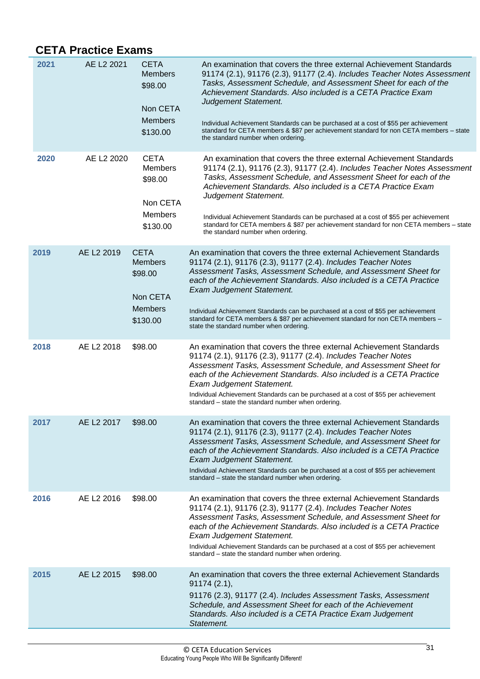### <span id="page-34-0"></span>**CETA Practice Exams**

<span id="page-34-3"></span><span id="page-34-2"></span><span id="page-34-1"></span>

| 2021 | AE L2 2021 | <b>CETA</b><br><b>Members</b><br>\$98.00<br>Non CETA<br><b>Members</b><br>\$130.00 | An examination that covers the three external Achievement Standards<br>91174 (2.1), 91176 (2.3), 91177 (2.4). Includes Teacher Notes Assessment<br>Tasks, Assessment Schedule, and Assessment Sheet for each of the<br>Achievement Standards. Also included is a CETA Practice Exam<br>Judgement Statement.<br>Individual Achievement Standards can be purchased at a cost of \$55 per achievement<br>standard for CETA members & \$87 per achievement standard for non CETA members - state<br>the standard number when ordering. |  |
|------|------------|------------------------------------------------------------------------------------|------------------------------------------------------------------------------------------------------------------------------------------------------------------------------------------------------------------------------------------------------------------------------------------------------------------------------------------------------------------------------------------------------------------------------------------------------------------------------------------------------------------------------------|--|
| 2020 | AE L2 2020 | <b>CETA</b><br><b>Members</b><br>\$98.00<br>Non CETA<br><b>Members</b><br>\$130.00 | An examination that covers the three external Achievement Standards<br>91174 (2.1), 91176 (2.3), 91177 (2.4). Includes Teacher Notes Assessment<br>Tasks, Assessment Schedule, and Assessment Sheet for each of the<br>Achievement Standards. Also included is a CETA Practice Exam<br>Judgement Statement.<br>Individual Achievement Standards can be purchased at a cost of \$55 per achievement<br>standard for CETA members & \$87 per achievement standard for non CETA members - state<br>the standard number when ordering. |  |
| 2019 | AE L2 2019 | <b>CETA</b><br><b>Members</b><br>\$98.00<br>Non CETA<br><b>Members</b><br>\$130.00 | An examination that covers the three external Achievement Standards<br>91174 (2.1), 91176 (2.3), 91177 (2.4). Includes Teacher Notes<br>Assessment Tasks, Assessment Schedule, and Assessment Sheet for<br>each of the Achievement Standards. Also included is a CETA Practice<br>Exam Judgement Statement.<br>Individual Achievement Standards can be purchased at a cost of \$55 per achievement<br>standard for CETA members & \$87 per achievement standard for non CETA members -<br>state the standard number when ordering. |  |
| 2018 | AE L2 2018 | \$98.00                                                                            | An examination that covers the three external Achievement Standards<br>91174 (2.1), 91176 (2.3), 91177 (2.4). Includes Teacher Notes<br>Assessment Tasks, Assessment Schedule, and Assessment Sheet for<br>each of the Achievement Standards. Also included is a CETA Practice<br>Exam Judgement Statement.<br>Individual Achievement Standards can be purchased at a cost of \$55 per achievement<br>standard – state the standard number when ordering.                                                                          |  |
| 2017 | AE L2 2017 | \$98.00                                                                            | An examination that covers the three external Achievement Standards<br>91174 (2.1), 91176 (2.3), 91177 (2.4). Includes Teacher Notes<br>Assessment Tasks, Assessment Schedule, and Assessment Sheet for<br>each of the Achievement Standards. Also included is a CETA Practice<br>Exam Judgement Statement.<br>Individual Achievement Standards can be purchased at a cost of \$55 per achievement<br>standard – state the standard number when ordering.                                                                          |  |
| 2016 | AE L2 2016 | \$98.00                                                                            | An examination that covers the three external Achievement Standards<br>91174 (2.1), 91176 (2.3), 91177 (2.4). Includes Teacher Notes<br>Assessment Tasks, Assessment Schedule, and Assessment Sheet for<br>each of the Achievement Standards. Also included is a CETA Practice<br><b>Exam Judgement Statement.</b><br>Individual Achievement Standards can be purchased at a cost of \$55 per achievement<br>standard – state the standard number when ordering.                                                                   |  |
| 2015 | AE L2 2015 | \$98.00                                                                            | An examination that covers the three external Achievement Standards<br>91174(2.1),<br>91176 (2.3), 91177 (2.4). Includes Assessment Tasks, Assessment<br>Schedule, and Assessment Sheet for each of the Achievement<br>Standards. Also included is a CETA Practice Exam Judgement<br>Statement.                                                                                                                                                                                                                                    |  |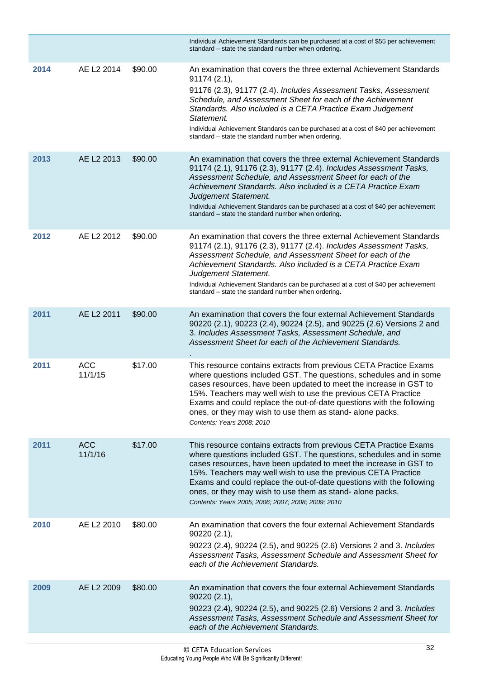<span id="page-35-5"></span><span id="page-35-4"></span><span id="page-35-3"></span><span id="page-35-2"></span><span id="page-35-1"></span><span id="page-35-0"></span>

|      |                       |         | Individual Achievement Standards can be purchased at a cost of \$55 per achievement<br>standard - state the standard number when ordering.                                                                                                                                                                                                                                                                                                                              |
|------|-----------------------|---------|-------------------------------------------------------------------------------------------------------------------------------------------------------------------------------------------------------------------------------------------------------------------------------------------------------------------------------------------------------------------------------------------------------------------------------------------------------------------------|
| 2014 | AE L2 2014            | \$90.00 | An examination that covers the three external Achievement Standards<br>91174(2.1),<br>91176 (2.3), 91177 (2.4). Includes Assessment Tasks, Assessment<br>Schedule, and Assessment Sheet for each of the Achievement<br>Standards. Also included is a CETA Practice Exam Judgement<br>Statement.<br>Individual Achievement Standards can be purchased at a cost of \$40 per achievement<br>standard – state the standard number when ordering.                           |
| 2013 | AE L2 2013            | \$90.00 | An examination that covers the three external Achievement Standards<br>91174 (2.1), 91176 (2.3), 91177 (2.4). Includes Assessment Tasks,<br>Assessment Schedule, and Assessment Sheet for each of the<br>Achievement Standards. Also included is a CETA Practice Exam<br>Judgement Statement.<br>Individual Achievement Standards can be purchased at a cost of \$40 per achievement<br>standard - state the standard number when ordering.                             |
| 2012 | AE L2 2012            | \$90.00 | An examination that covers the three external Achievement Standards<br>91174 (2.1), 91176 (2.3), 91177 (2.4). Includes Assessment Tasks,<br>Assessment Schedule, and Assessment Sheet for each of the<br>Achievement Standards. Also included is a CETA Practice Exam<br>Judgement Statement.<br>Individual Achievement Standards can be purchased at a cost of \$40 per achievement<br>standard – state the standard number when ordering.                             |
| 2011 | AE L2 2011            | \$90.00 | An examination that covers the four external Achievement Standards<br>90220 (2.1), 90223 (2.4), 90224 (2.5), and 90225 (2.6) Versions 2 and<br>3. Includes Assessment Tasks, Assessment Schedule, and<br>Assessment Sheet for each of the Achievement Standards.                                                                                                                                                                                                        |
| 2011 | <b>ACC</b><br>11/1/15 | \$17.00 | This resource contains extracts from previous CETA Practice Exams<br>where questions included GST. The questions, schedules and in some<br>cases resources, have been updated to meet the increase in GST to<br>15%. Teachers may well wish to use the previous CETA Practice<br>Exams and could replace the out-of-date questions with the following<br>ones, or they may wish to use them as stand-alone packs.<br>Contents: Years 2008; 2010                         |
| 2011 | <b>ACC</b><br>11/1/16 | \$17.00 | This resource contains extracts from previous CETA Practice Exams<br>where questions included GST. The questions, schedules and in some<br>cases resources, have been updated to meet the increase in GST to<br>15%. Teachers may well wish to use the previous CETA Practice<br>Exams and could replace the out-of-date questions with the following<br>ones, or they may wish to use them as stand-alone packs.<br>Contents: Years 2005; 2006; 2007; 2008; 2009; 2010 |
| 2010 | AE L2 2010            | \$80.00 | An examination that covers the four external Achievement Standards<br>90220 (2.1),<br>90223 (2.4), 90224 (2.5), and 90225 (2.6) Versions 2 and 3. Includes<br>Assessment Tasks, Assessment Schedule and Assessment Sheet for<br>each of the Achievement Standards.                                                                                                                                                                                                      |
| 2009 | AE L2 2009            | \$80.00 | An examination that covers the four external Achievement Standards<br>90220(2.1),<br>90223 (2.4), 90224 (2.5), and 90225 (2.6) Versions 2 and 3. Includes<br>Assessment Tasks, Assessment Schedule and Assessment Sheet for<br>each of the Achievement Standards.                                                                                                                                                                                                       |